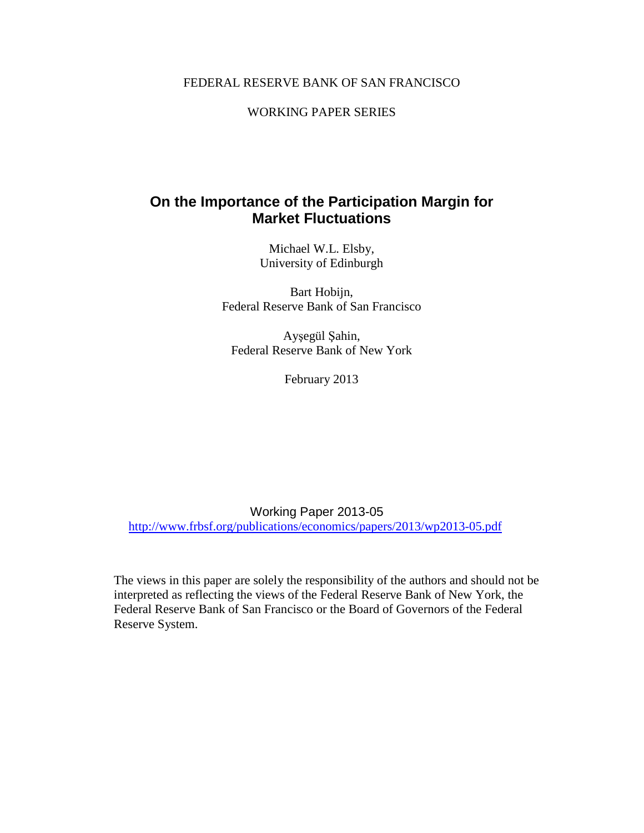### FEDERAL RESERVE BANK OF SAN FRANCISCO

#### WORKING PAPER SERIES

# **On the Importance of the Participation Margin for Market Fluctuations**

Michael W.L. Elsby, University of Edinburgh

Bart Hobijn, Federal Reserve Bank of San Francisco

Ayşegül Şahin, Federal Reserve Bank of New York

February 2013

Working Paper 2013-05 <http://www.frbsf.org/publications/economics/papers/2013/wp2013-05.pdf>

The views in this paper are solely the responsibility of the authors and should not be interpreted as reflecting the views of the Federal Reserve Bank of New York, the Federal Reserve Bank of San Francisco or the Board of Governors of the Federal Reserve System.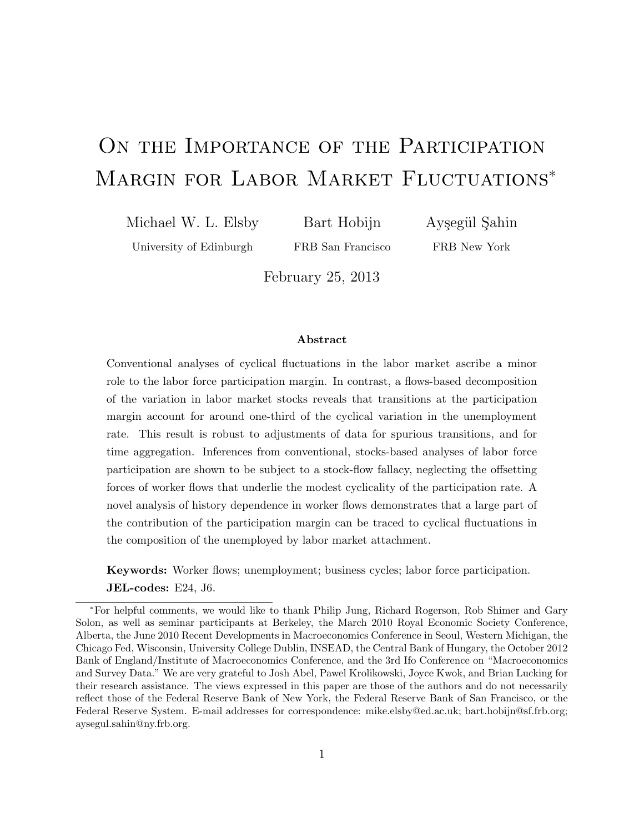# ON THE IMPORTANCE OF THE PARTICIPATION MARGIN FOR LABOR MARKET FLUCTUATIONS<sup>\*</sup>

Michael W. L. Elsby

Bart Hobijn

Aysegül Sahin FRB New York

University of Edinburgh

FRB San Francisco

February 25, 2013

#### Abstract

Conventional analyses of cyclical fluctuations in the labor market ascribe a minor role to the labor force participation margin. In contrast, a flows-based decomposition of the variation in labor market stocks reveals that transitions at the participation margin account for around one-third of the cyclical variation in the unemployment rate. This result is robust to adjustments of data for spurious transitions, and for time aggregation. Inferences from conventional, stocks-based analyses of labor force participation are shown to be subject to a stock-flow fallacy, neglecting the offsetting forces of worker flows that underlie the modest cyclicality of the participation rate. A novel analysis of history dependence in worker flows demonstrates that a large part of the contribution of the participation margin can be traced to cyclical fluctuations in the composition of the unemployed by labor market attachment.

Keywords: Worker flows; unemployment; business cycles; labor force participation. JEL-codes: E24, J6.

<sup>∗</sup>For helpful comments, we would like to thank Philip Jung, Richard Rogerson, Rob Shimer and Gary Solon, as well as seminar participants at Berkeley, the March 2010 Royal Economic Society Conference, Alberta, the June 2010 Recent Developments in Macroeconomics Conference in Seoul, Western Michigan, the Chicago Fed, Wisconsin, University College Dublin, INSEAD, the Central Bank of Hungary, the October 2012 Bank of England/Institute of Macroeconomics Conference, and the 3rd Ifo Conference on "Macroeconomics and Survey Data." We are very grateful to Josh Abel, Pawel Krolikowski, Joyce Kwok, and Brian Lucking for their research assistance. The views expressed in this paper are those of the authors and do not necessarily reflect those of the Federal Reserve Bank of New York, the Federal Reserve Bank of San Francisco, or the Federal Reserve System. E-mail addresses for correspondence: mike.elsby@ed.ac.uk; bart.hobijn@sf.frb.org; aysegul.sahin@ny.frb.org.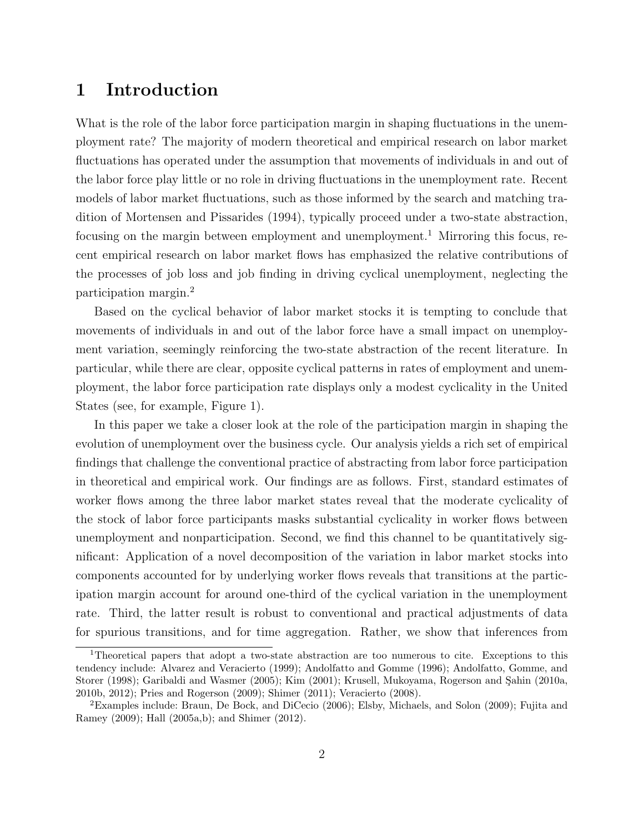# 1 Introduction

What is the role of the labor force participation margin in shaping fluctuations in the unemployment rate? The majority of modern theoretical and empirical research on labor market fluctuations has operated under the assumption that movements of individuals in and out of the labor force play little or no role in driving fluctuations in the unemployment rate. Recent models of labor market fluctuations, such as those informed by the search and matching tradition of Mortensen and Pissarides (1994), typically proceed under a two-state abstraction, focusing on the margin between employment and unemployment.<sup>1</sup> Mirroring this focus, recent empirical research on labor market flows has emphasized the relative contributions of the processes of job loss and job finding in driving cyclical unemployment, neglecting the participation margin.<sup>2</sup>

Based on the cyclical behavior of labor market stocks it is tempting to conclude that movements of individuals in and out of the labor force have a small impact on unemployment variation, seemingly reinforcing the two-state abstraction of the recent literature. In particular, while there are clear, opposite cyclical patterns in rates of employment and unemployment, the labor force participation rate displays only a modest cyclicality in the United States (see, for example, Figure 1).

In this paper we take a closer look at the role of the participation margin in shaping the evolution of unemployment over the business cycle. Our analysis yields a rich set of empirical findings that challenge the conventional practice of abstracting from labor force participation in theoretical and empirical work. Our findings are as follows. First, standard estimates of worker flows among the three labor market states reveal that the moderate cyclicality of the stock of labor force participants masks substantial cyclicality in worker flows between unemployment and nonparticipation. Second, we find this channel to be quantitatively significant: Application of a novel decomposition of the variation in labor market stocks into components accounted for by underlying worker flows reveals that transitions at the participation margin account for around one-third of the cyclical variation in the unemployment rate. Third, the latter result is robust to conventional and practical adjustments of data for spurious transitions, and for time aggregation. Rather, we show that inferences from

<sup>1</sup>Theoretical papers that adopt a two-state abstraction are too numerous to cite. Exceptions to this tendency include: Alvarez and Veracierto (1999); Andolfatto and Gomme (1996); Andolfatto, Gomme, and Storer (1998); Garibaldi and Wasmer (2005); Kim (2001); Krusell, Mukoyama, Rogerson and Sahin (2010a, 2010b, 2012); Pries and Rogerson (2009); Shimer (2011); Veracierto (2008).

<sup>2</sup>Examples include: Braun, De Bock, and DiCecio (2006); Elsby, Michaels, and Solon (2009); Fujita and Ramey (2009); Hall (2005a,b); and Shimer (2012).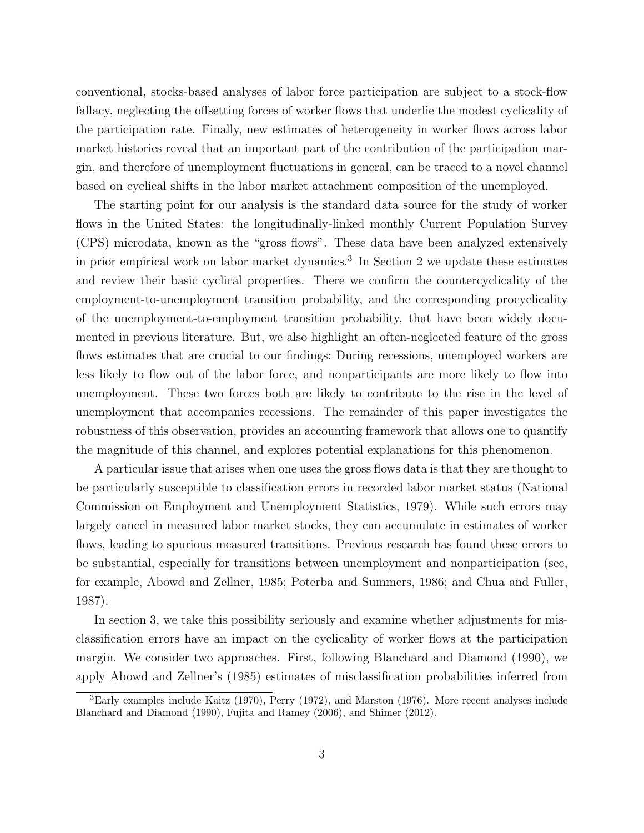conventional, stocks-based analyses of labor force participation are subject to a stock-flow fallacy, neglecting the offsetting forces of worker flows that underlie the modest cyclicality of the participation rate. Finally, new estimates of heterogeneity in worker flows across labor market histories reveal that an important part of the contribution of the participation margin, and therefore of unemployment fluctuations in general, can be traced to a novel channel based on cyclical shifts in the labor market attachment composition of the unemployed.

The starting point for our analysis is the standard data source for the study of worker flows in the United States: the longitudinally-linked monthly Current Population Survey (CPS) microdata, known as the "gross flows". These data have been analyzed extensively in prior empirical work on labor market dynamics.<sup>3</sup> In Section 2 we update these estimates and review their basic cyclical properties. There we confirm the countercyclicality of the employment-to-unemployment transition probability, and the corresponding procyclicality of the unemployment-to-employment transition probability, that have been widely documented in previous literature. But, we also highlight an often-neglected feature of the gross flows estimates that are crucial to our findings: During recessions, unemployed workers are less likely to flow out of the labor force, and nonparticipants are more likely to flow into unemployment. These two forces both are likely to contribute to the rise in the level of unemployment that accompanies recessions. The remainder of this paper investigates the robustness of this observation, provides an accounting framework that allows one to quantify the magnitude of this channel, and explores potential explanations for this phenomenon.

A particular issue that arises when one uses the gross flows data is that they are thought to be particularly susceptible to classification errors in recorded labor market status (National Commission on Employment and Unemployment Statistics, 1979). While such errors may largely cancel in measured labor market stocks, they can accumulate in estimates of worker flows, leading to spurious measured transitions. Previous research has found these errors to be substantial, especially for transitions between unemployment and nonparticipation (see, for example, Abowd and Zellner, 1985; Poterba and Summers, 1986; and Chua and Fuller, 1987).

In section 3, we take this possibility seriously and examine whether adjustments for misclassification errors have an impact on the cyclicality of worker flows at the participation margin. We consider two approaches. First, following Blanchard and Diamond (1990), we apply Abowd and Zellner's (1985) estimates of misclassification probabilities inferred from

<sup>3</sup>Early examples include Kaitz (1970), Perry (1972), and Marston (1976). More recent analyses include Blanchard and Diamond (1990), Fujita and Ramey (2006), and Shimer (2012).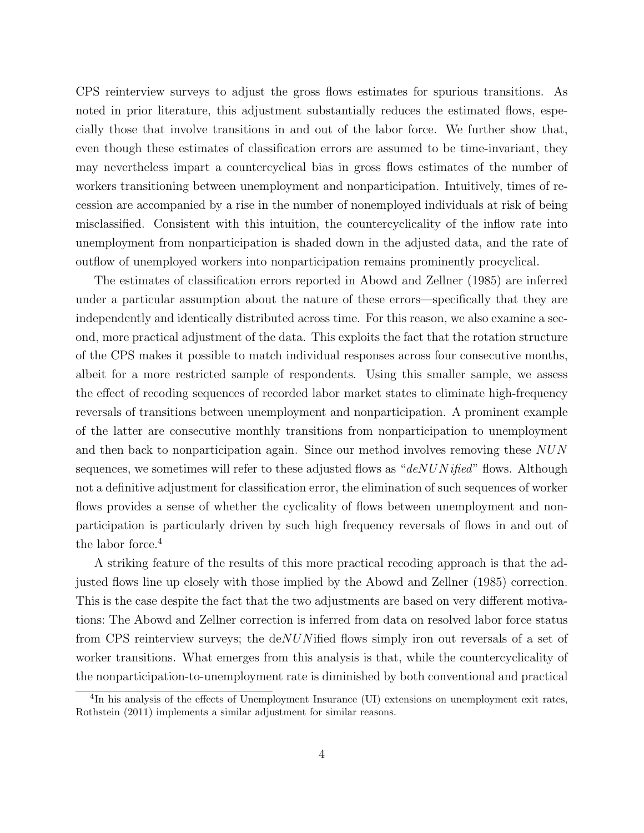CPS reinterview surveys to adjust the gross flows estimates for spurious transitions. As noted in prior literature, this adjustment substantially reduces the estimated flows, especially those that involve transitions in and out of the labor force. We further show that, even though these estimates of classification errors are assumed to be time-invariant, they may nevertheless impart a countercyclical bias in gross flows estimates of the number of workers transitioning between unemployment and nonparticipation. Intuitively, times of recession are accompanied by a rise in the number of nonemployed individuals at risk of being misclassified. Consistent with this intuition, the countercyclicality of the inflow rate into unemployment from nonparticipation is shaded down in the adjusted data, and the rate of outflow of unemployed workers into nonparticipation remains prominently procyclical.

The estimates of classification errors reported in Abowd and Zellner (1985) are inferred under a particular assumption about the nature of these errors—specifically that they are independently and identically distributed across time. For this reason, we also examine a second, more practical adjustment of the data. This exploits the fact that the rotation structure of the CPS makes it possible to match individual responses across four consecutive months, albeit for a more restricted sample of respondents. Using this smaller sample, we assess the effect of recoding sequences of recorded labor market states to eliminate high-frequency reversals of transitions between unemployment and nonparticipation. A prominent example of the latter are consecutive monthly transitions from nonparticipation to unemployment and then back to nonparticipation again. Since our method involves removing these NUN sequences, we sometimes will refer to these adjusted flows as " $deNUNi$  flows. Although not a definitive adjustment for classification error, the elimination of such sequences of worker flows provides a sense of whether the cyclicality of flows between unemployment and nonparticipation is particularly driven by such high frequency reversals of flows in and out of the labor force.<sup>4</sup>

A striking feature of the results of this more practical recoding approach is that the adjusted flows line up closely with those implied by the Abowd and Zellner (1985) correction. This is the case despite the fact that the two adjustments are based on very different motivations: The Abowd and Zellner correction is inferred from data on resolved labor force status from CPS reinterview surveys; the deNUN ified flows simply iron out reversals of a set of worker transitions. What emerges from this analysis is that, while the countercyclicality of the nonparticipation-to-unemployment rate is diminished by both conventional and practical

<sup>&</sup>lt;sup>4</sup>In his analysis of the effects of Unemployment Insurance (UI) extensions on unemployment exit rates, Rothstein (2011) implements a similar adjustment for similar reasons.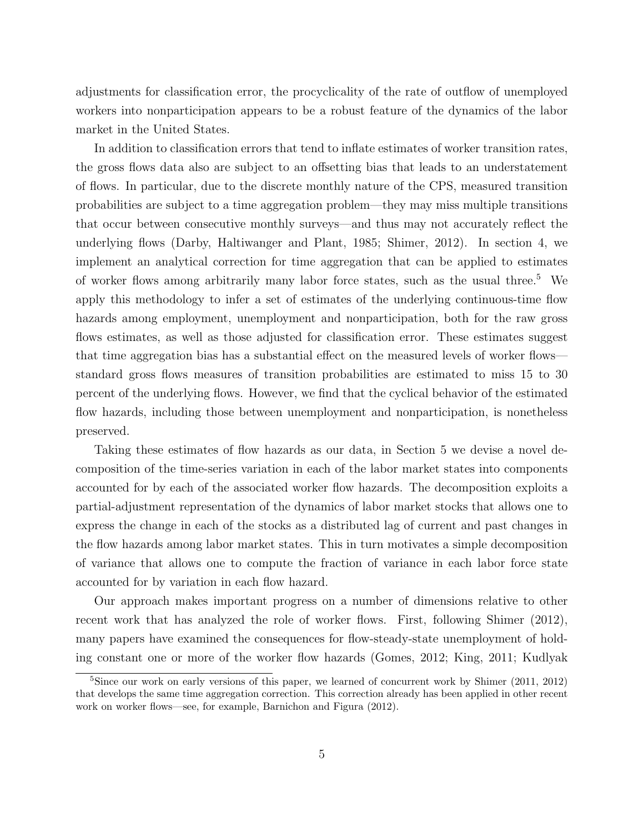adjustments for classification error, the procyclicality of the rate of outflow of unemployed workers into nonparticipation appears to be a robust feature of the dynamics of the labor market in the United States.

In addition to classification errors that tend to inflate estimates of worker transition rates, the gross flows data also are subject to an offsetting bias that leads to an understatement of flows. In particular, due to the discrete monthly nature of the CPS, measured transition probabilities are subject to a time aggregation problem—they may miss multiple transitions that occur between consecutive monthly surveys—and thus may not accurately reflect the underlying flows (Darby, Haltiwanger and Plant, 1985; Shimer, 2012). In section 4, we implement an analytical correction for time aggregation that can be applied to estimates of worker flows among arbitrarily many labor force states, such as the usual three.<sup>5</sup> We apply this methodology to infer a set of estimates of the underlying continuous-time flow hazards among employment, unemployment and nonparticipation, both for the raw gross flows estimates, as well as those adjusted for classification error. These estimates suggest that time aggregation bias has a substantial effect on the measured levels of worker flows standard gross flows measures of transition probabilities are estimated to miss 15 to 30 percent of the underlying flows. However, we find that the cyclical behavior of the estimated flow hazards, including those between unemployment and nonparticipation, is nonetheless preserved.

Taking these estimates of flow hazards as our data, in Section 5 we devise a novel decomposition of the time-series variation in each of the labor market states into components accounted for by each of the associated worker flow hazards. The decomposition exploits a partial-adjustment representation of the dynamics of labor market stocks that allows one to express the change in each of the stocks as a distributed lag of current and past changes in the flow hazards among labor market states. This in turn motivates a simple decomposition of variance that allows one to compute the fraction of variance in each labor force state accounted for by variation in each flow hazard.

Our approach makes important progress on a number of dimensions relative to other recent work that has analyzed the role of worker flows. First, following Shimer (2012), many papers have examined the consequences for flow-steady-state unemployment of holding constant one or more of the worker flow hazards (Gomes, 2012; King, 2011; Kudlyak

<sup>&</sup>lt;sup>5</sup>Since our work on early versions of this paper, we learned of concurrent work by Shimer (2011, 2012) that develops the same time aggregation correction. This correction already has been applied in other recent work on worker flows—see, for example, Barnichon and Figura (2012).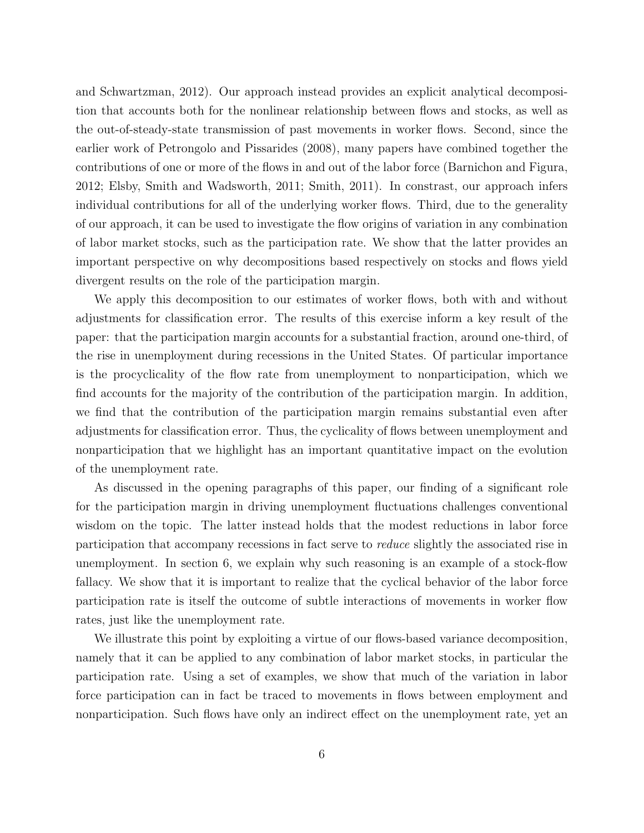and Schwartzman, 2012). Our approach instead provides an explicit analytical decomposition that accounts both for the nonlinear relationship between flows and stocks, as well as the out-of-steady-state transmission of past movements in worker flows. Second, since the earlier work of Petrongolo and Pissarides (2008), many papers have combined together the contributions of one or more of the flows in and out of the labor force (Barnichon and Figura, 2012; Elsby, Smith and Wadsworth, 2011; Smith, 2011). In constrast, our approach infers individual contributions for all of the underlying worker flows. Third, due to the generality of our approach, it can be used to investigate the flow origins of variation in any combination of labor market stocks, such as the participation rate. We show that the latter provides an important perspective on why decompositions based respectively on stocks and flows yield divergent results on the role of the participation margin.

We apply this decomposition to our estimates of worker flows, both with and without adjustments for classification error. The results of this exercise inform a key result of the paper: that the participation margin accounts for a substantial fraction, around one-third, of the rise in unemployment during recessions in the United States. Of particular importance is the procyclicality of the flow rate from unemployment to nonparticipation, which we find accounts for the majority of the contribution of the participation margin. In addition, we find that the contribution of the participation margin remains substantial even after adjustments for classification error. Thus, the cyclicality of flows between unemployment and nonparticipation that we highlight has an important quantitative impact on the evolution of the unemployment rate.

As discussed in the opening paragraphs of this paper, our finding of a significant role for the participation margin in driving unemployment fluctuations challenges conventional wisdom on the topic. The latter instead holds that the modest reductions in labor force participation that accompany recessions in fact serve to reduce slightly the associated rise in unemployment. In section 6, we explain why such reasoning is an example of a stock-flow fallacy. We show that it is important to realize that the cyclical behavior of the labor force participation rate is itself the outcome of subtle interactions of movements in worker flow rates, just like the unemployment rate.

We illustrate this point by exploiting a virtue of our flows-based variance decomposition, namely that it can be applied to any combination of labor market stocks, in particular the participation rate. Using a set of examples, we show that much of the variation in labor force participation can in fact be traced to movements in flows between employment and nonparticipation. Such flows have only an indirect effect on the unemployment rate, yet an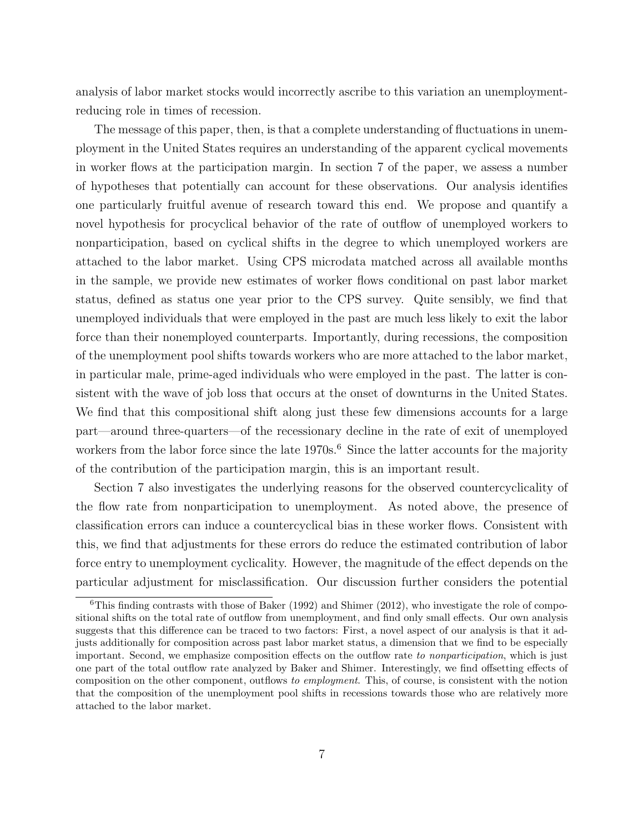analysis of labor market stocks would incorrectly ascribe to this variation an unemploymentreducing role in times of recession.

The message of this paper, then, is that a complete understanding of fluctuations in unemployment in the United States requires an understanding of the apparent cyclical movements in worker flows at the participation margin. In section 7 of the paper, we assess a number of hypotheses that potentially can account for these observations. Our analysis identifies one particularly fruitful avenue of research toward this end. We propose and quantify a novel hypothesis for procyclical behavior of the rate of outflow of unemployed workers to nonparticipation, based on cyclical shifts in the degree to which unemployed workers are attached to the labor market. Using CPS microdata matched across all available months in the sample, we provide new estimates of worker flows conditional on past labor market status, defined as status one year prior to the CPS survey. Quite sensibly, we find that unemployed individuals that were employed in the past are much less likely to exit the labor force than their nonemployed counterparts. Importantly, during recessions, the composition of the unemployment pool shifts towards workers who are more attached to the labor market, in particular male, prime-aged individuals who were employed in the past. The latter is consistent with the wave of job loss that occurs at the onset of downturns in the United States. We find that this compositional shift along just these few dimensions accounts for a large part—around three-quarters—of the recessionary decline in the rate of exit of unemployed workers from the labor force since the late 1970s.<sup>6</sup> Since the latter accounts for the majority of the contribution of the participation margin, this is an important result.

Section 7 also investigates the underlying reasons for the observed countercyclicality of the flow rate from nonparticipation to unemployment. As noted above, the presence of classification errors can induce a countercyclical bias in these worker flows. Consistent with this, we find that adjustments for these errors do reduce the estimated contribution of labor force entry to unemployment cyclicality. However, the magnitude of the effect depends on the particular adjustment for misclassification. Our discussion further considers the potential

 $6$ This finding contrasts with those of Baker (1992) and Shimer (2012), who investigate the role of compositional shifts on the total rate of outflow from unemployment, and find only small effects. Our own analysis suggests that this difference can be traced to two factors: First, a novel aspect of our analysis is that it adjusts additionally for composition across past labor market status, a dimension that we find to be especially important. Second, we emphasize composition effects on the outflow rate to nonparticipation, which is just one part of the total outflow rate analyzed by Baker and Shimer. Interestingly, we find offsetting effects of composition on the other component, outflows to employment. This, of course, is consistent with the notion that the composition of the unemployment pool shifts in recessions towards those who are relatively more attached to the labor market.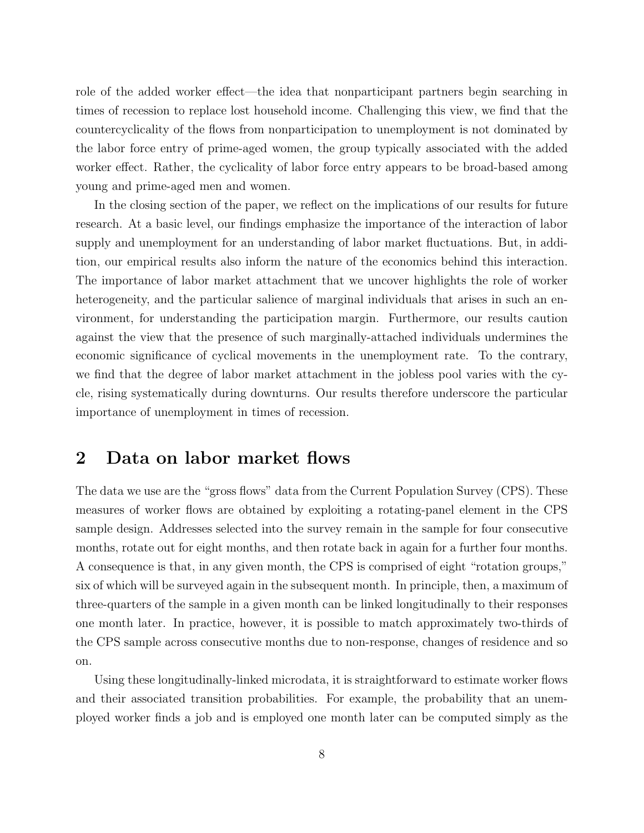role of the added worker effect—the idea that nonparticipant partners begin searching in times of recession to replace lost household income. Challenging this view, we find that the countercyclicality of the flows from nonparticipation to unemployment is not dominated by the labor force entry of prime-aged women, the group typically associated with the added worker effect. Rather, the cyclicality of labor force entry appears to be broad-based among young and prime-aged men and women.

In the closing section of the paper, we reflect on the implications of our results for future research. At a basic level, our findings emphasize the importance of the interaction of labor supply and unemployment for an understanding of labor market fluctuations. But, in addition, our empirical results also inform the nature of the economics behind this interaction. The importance of labor market attachment that we uncover highlights the role of worker heterogeneity, and the particular salience of marginal individuals that arises in such an environment, for understanding the participation margin. Furthermore, our results caution against the view that the presence of such marginally-attached individuals undermines the economic significance of cyclical movements in the unemployment rate. To the contrary, we find that the degree of labor market attachment in the jobless pool varies with the cycle, rising systematically during downturns. Our results therefore underscore the particular importance of unemployment in times of recession.

# 2 Data on labor market flows

The data we use are the "gross flows" data from the Current Population Survey (CPS). These measures of worker flows are obtained by exploiting a rotating-panel element in the CPS sample design. Addresses selected into the survey remain in the sample for four consecutive months, rotate out for eight months, and then rotate back in again for a further four months. A consequence is that, in any given month, the CPS is comprised of eight "rotation groups," six of which will be surveyed again in the subsequent month. In principle, then, a maximum of three-quarters of the sample in a given month can be linked longitudinally to their responses one month later. In practice, however, it is possible to match approximately two-thirds of the CPS sample across consecutive months due to non-response, changes of residence and so on.

Using these longitudinally-linked microdata, it is straightforward to estimate worker flows and their associated transition probabilities. For example, the probability that an unemployed worker finds a job and is employed one month later can be computed simply as the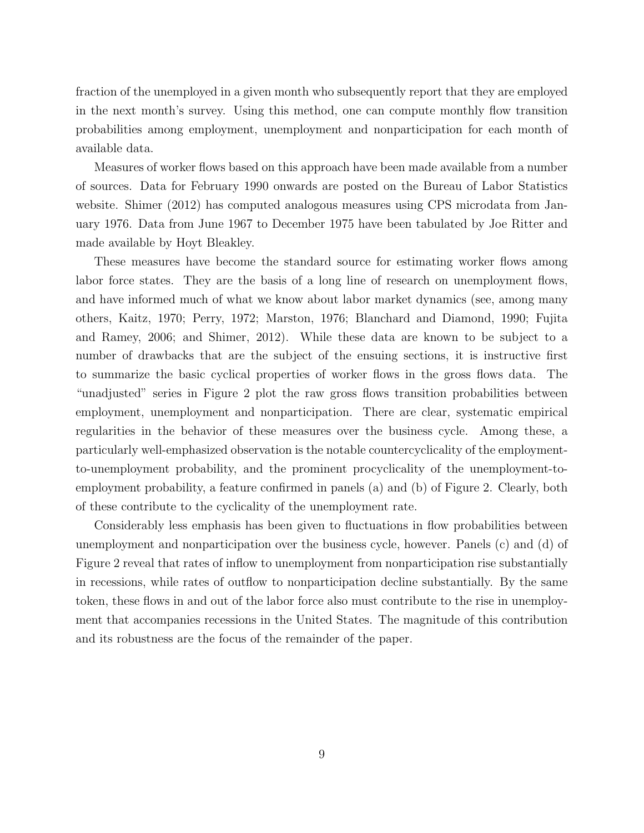fraction of the unemployed in a given month who subsequently report that they are employed in the next month's survey. Using this method, one can compute monthly flow transition probabilities among employment, unemployment and nonparticipation for each month of available data.

Measures of worker flows based on this approach have been made available from a number of sources. Data for February 1990 onwards are posted on the Bureau of Labor Statistics website. Shimer (2012) has computed analogous measures using CPS microdata from January 1976. Data from June 1967 to December 1975 have been tabulated by Joe Ritter and made available by Hoyt Bleakley.

These measures have become the standard source for estimating worker flows among labor force states. They are the basis of a long line of research on unemployment flows, and have informed much of what we know about labor market dynamics (see, among many others, Kaitz, 1970; Perry, 1972; Marston, 1976; Blanchard and Diamond, 1990; Fujita and Ramey, 2006; and Shimer, 2012). While these data are known to be subject to a number of drawbacks that are the subject of the ensuing sections, it is instructive first to summarize the basic cyclical properties of worker flows in the gross flows data. The "unadjusted" series in Figure 2 plot the raw gross flows transition probabilities between employment, unemployment and nonparticipation. There are clear, systematic empirical regularities in the behavior of these measures over the business cycle. Among these, a particularly well-emphasized observation is the notable countercyclicality of the employmentto-unemployment probability, and the prominent procyclicality of the unemployment-toemployment probability, a feature confirmed in panels (a) and (b) of Figure 2. Clearly, both of these contribute to the cyclicality of the unemployment rate.

Considerably less emphasis has been given to fluctuations in flow probabilities between unemployment and nonparticipation over the business cycle, however. Panels (c) and (d) of Figure 2 reveal that rates of inflow to unemployment from nonparticipation rise substantially in recessions, while rates of outflow to nonparticipation decline substantially. By the same token, these flows in and out of the labor force also must contribute to the rise in unemployment that accompanies recessions in the United States. The magnitude of this contribution and its robustness are the focus of the remainder of the paper.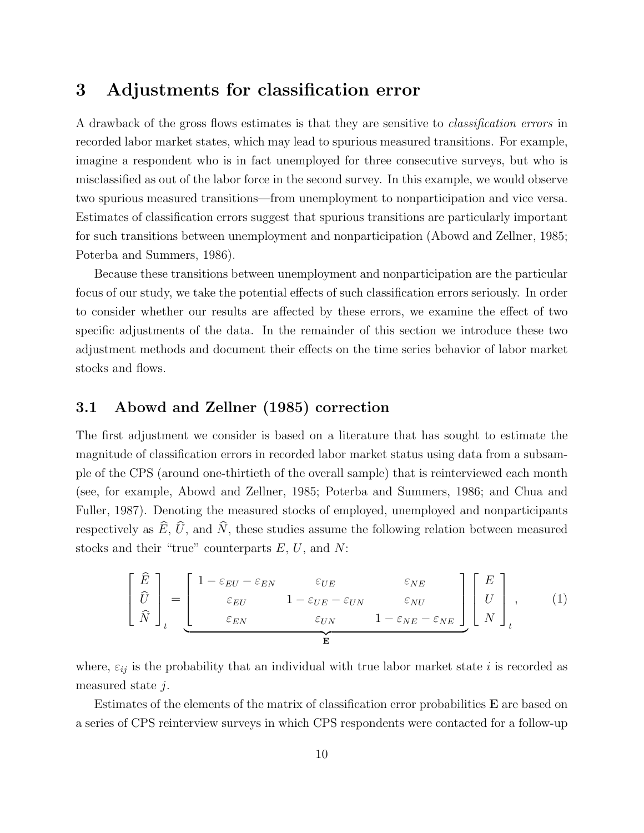## 3 Adjustments for classification error

A drawback of the gross flows estimates is that they are sensitive to classification errors in recorded labor market states, which may lead to spurious measured transitions. For example, imagine a respondent who is in fact unemployed for three consecutive surveys, but who is misclassified as out of the labor force in the second survey. In this example, we would observe two spurious measured transitions—from unemployment to nonparticipation and vice versa. Estimates of classification errors suggest that spurious transitions are particularly important for such transitions between unemployment and nonparticipation (Abowd and Zellner, 1985; Poterba and Summers, 1986).

Because these transitions between unemployment and nonparticipation are the particular focus of our study, we take the potential effects of such classification errors seriously. In order to consider whether our results are affected by these errors, we examine the effect of two specific adjustments of the data. In the remainder of this section we introduce these two adjustment methods and document their effects on the time series behavior of labor market stocks and flows.

### 3.1 Abowd and Zellner (1985) correction

The first adjustment we consider is based on a literature that has sought to estimate the magnitude of classification errors in recorded labor market status using data from a subsample of the CPS (around one-thirtieth of the overall sample) that is reinterviewed each month (see, for example, Abowd and Zellner, 1985; Poterba and Summers, 1986; and Chua and Fuller, 1987). Denoting the measured stocks of employed, unemployed and nonparticipants respectively as  $\widehat{E}, \widehat{U}$ , and  $\widehat{N}$ , these studies assume the following relation between measured stocks and their "true" counterparts  $E, U$ , and  $N$ :

$$
\begin{bmatrix}\n\hat{E} \\
\hat{U} \\
\hat{N}\n\end{bmatrix}_{t} = \begin{bmatrix}\n1 - \varepsilon_{EU} - \varepsilon_{EN} & \varepsilon_{UE} & \varepsilon_{NE} \\
\varepsilon_{EU} & 1 - \varepsilon_{UE} - \varepsilon_{UN} & \varepsilon_{NU} \\
\varepsilon_{EN} & \varepsilon_{UN} & 1 - \varepsilon_{NE} - \varepsilon_{NE}\n\end{bmatrix}\n\begin{bmatrix}\nE \\
U \\
N\n\end{bmatrix}_{t},
$$
\n(1)

where,  $\varepsilon_{ij}$  is the probability that an individual with true labor market state i is recorded as measured state j.

Estimates of the elements of the matrix of classification error probabilities  $E$  are based on a series of CPS reinterview surveys in which CPS respondents were contacted for a follow-up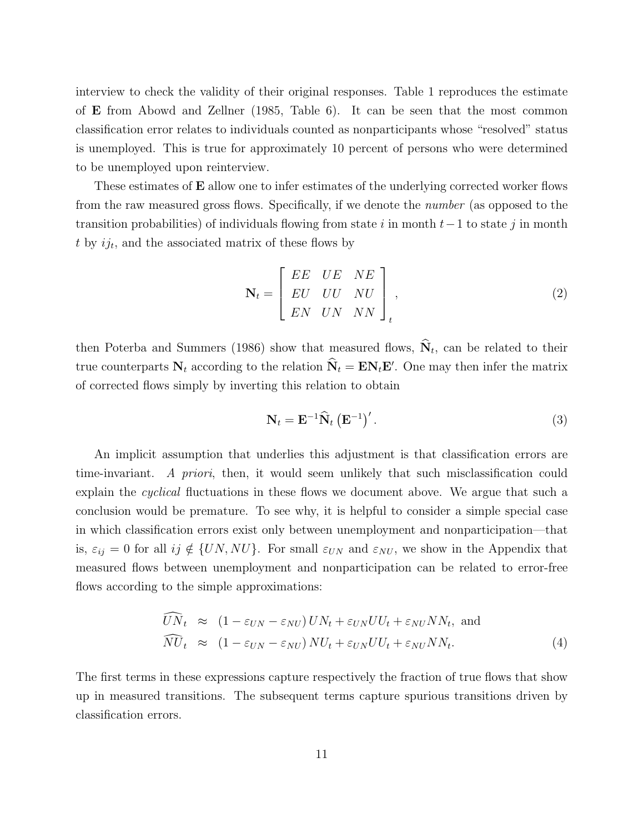interview to check the validity of their original responses. Table 1 reproduces the estimate of E from Abowd and Zellner (1985, Table 6). It can be seen that the most common classification error relates to individuals counted as nonparticipants whose "resolved" status is unemployed. This is true for approximately 10 percent of persons who were determined to be unemployed upon reinterview.

These estimates of  $E$  allow one to infer estimates of the underlying corrected worker flows from the raw measured gross flows. Specifically, if we denote the number (as opposed to the transition probabilities) of individuals flowing from state i in month  $t-1$  to state j in month  $t$  by  $ij_t$ , and the associated matrix of these flows by

$$
\mathbf{N}_t = \begin{bmatrix} EE & UE & NE \\ EU & UU & NU \\ EN & UN & NN \end{bmatrix}_t, \qquad (2)
$$

then Poterba and Summers (1986) show that measured flows,  $N_t$ , can be related to their true counterparts  $N_t$  according to the relation  $\hat{N}_t = EN_tE'$ . One may then infer the matrix of corrected flows simply by inverting this relation to obtain

$$
\mathbf{N}_{t} = \mathbf{E}^{-1} \widehat{\mathbf{N}}_{t} \left( \mathbf{E}^{-1} \right)^{\prime} . \tag{3}
$$

An implicit assumption that underlies this adjustment is that classification errors are time-invariant. A priori, then, it would seem unlikely that such misclassification could explain the cyclical fluctuations in these flows we document above. We argue that such a conclusion would be premature. To see why, it is helpful to consider a simple special case in which classification errors exist only between unemployment and nonparticipation—that is,  $\varepsilon_{ij} = 0$  for all  $ij \notin \{UN, NU\}$ . For small  $\varepsilon_{UN}$  and  $\varepsilon_{NU}$ , we show in the Appendix that measured flows between unemployment and nonparticipation can be related to error-free flows according to the simple approximations:

$$
\widehat{UN}_t \approx (1 - \varepsilon_{UN} - \varepsilon_{NU}) UN_t + \varepsilon_{UN} UU_t + \varepsilon_{NU} NN_t, \text{ and}
$$
\n
$$
\widehat{NU}_t \approx (1 - \varepsilon_{UN} - \varepsilon_{NU}) NU_t + \varepsilon_{UN} UU_t + \varepsilon_{NU} NN_t.
$$
\n(4)

The first terms in these expressions capture respectively the fraction of true flows that show up in measured transitions. The subsequent terms capture spurious transitions driven by classification errors.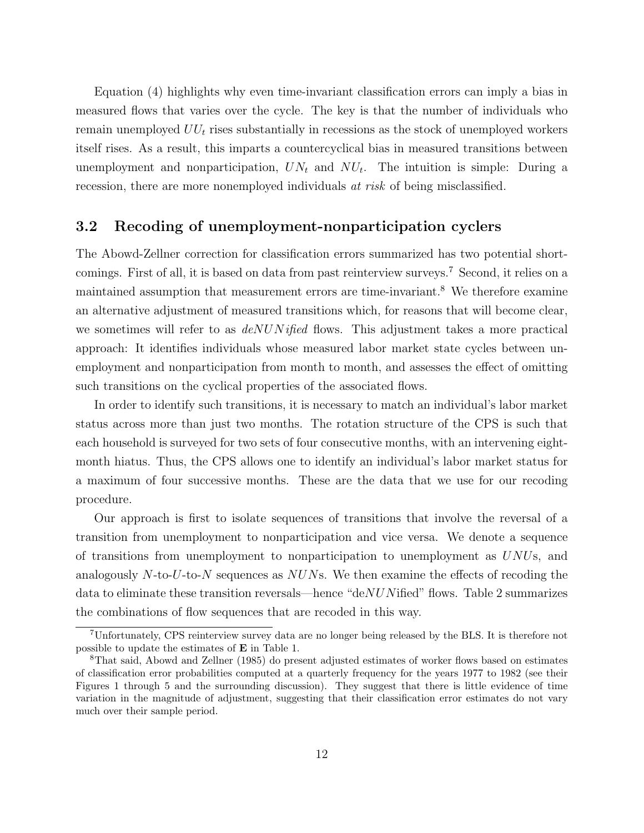Equation (4) highlights why even time-invariant classification errors can imply a bias in measured flows that varies over the cycle. The key is that the number of individuals who remain unemployed  $UU_t$  rises substantially in recessions as the stock of unemployed workers itself rises. As a result, this imparts a countercyclical bias in measured transitions between unemployment and nonparticipation,  $UN_t$  and  $NU_t$ . The intuition is simple: During a recession, there are more nonemployed individuals at risk of being misclassified.

#### 3.2 Recoding of unemployment-nonparticipation cyclers

The Abowd-Zellner correction for classification errors summarized has two potential shortcomings. First of all, it is based on data from past reinterview surveys.<sup>7</sup> Second, it relies on a maintained assumption that measurement errors are time-invariant.<sup>8</sup> We therefore examine an alternative adjustment of measured transitions which, for reasons that will become clear, we sometimes will refer to as  $deNUNified$  flows. This adjustment takes a more practical approach: It identifies individuals whose measured labor market state cycles between unemployment and nonparticipation from month to month, and assesses the effect of omitting such transitions on the cyclical properties of the associated flows.

In order to identify such transitions, it is necessary to match an individual's labor market status across more than just two months. The rotation structure of the CPS is such that each household is surveyed for two sets of four consecutive months, with an intervening eightmonth hiatus. Thus, the CPS allows one to identify an individual's labor market status for a maximum of four successive months. These are the data that we use for our recoding procedure.

Our approach is first to isolate sequences of transitions that involve the reversal of a transition from unemployment to nonparticipation and vice versa. We denote a sequence of transitions from unemployment to nonparticipation to unemployment as UNUs, and analogously  $N$ -to- $U$ -to- $N$  sequences as  $NUNs$ . We then examine the effects of recoding the data to eliminate these transition reversals—hence "de $NUN$ ified" flows. Table 2 summarizes the combinations of flow sequences that are recoded in this way.

<sup>7</sup>Unfortunately, CPS reinterview survey data are no longer being released by the BLS. It is therefore not possible to update the estimates of E in Table 1.

<sup>8</sup>That said, Abowd and Zellner (1985) do present adjusted estimates of worker flows based on estimates of classification error probabilities computed at a quarterly frequency for the years 1977 to 1982 (see their Figures 1 through 5 and the surrounding discussion). They suggest that there is little evidence of time variation in the magnitude of adjustment, suggesting that their classification error estimates do not vary much over their sample period.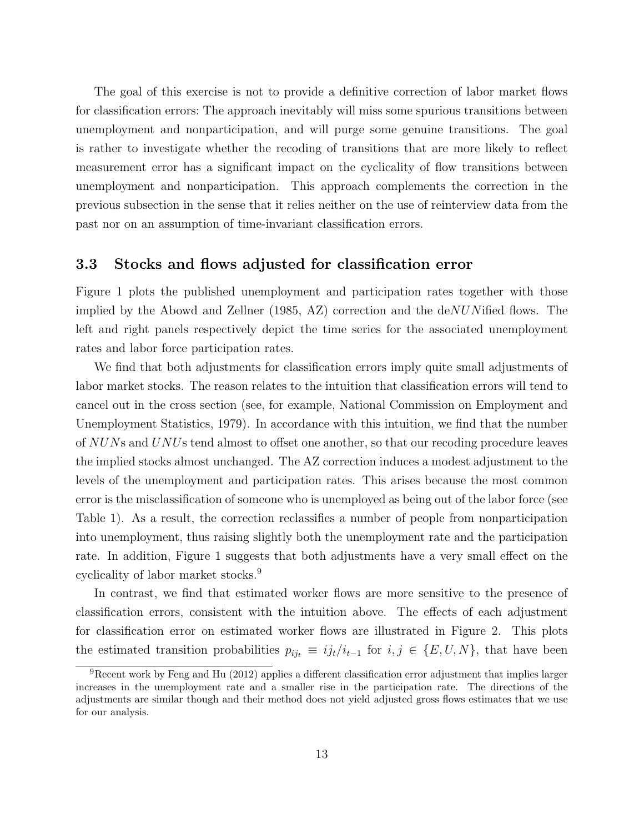The goal of this exercise is not to provide a definitive correction of labor market flows for classification errors: The approach inevitably will miss some spurious transitions between unemployment and nonparticipation, and will purge some genuine transitions. The goal is rather to investigate whether the recoding of transitions that are more likely to reflect measurement error has a significant impact on the cyclicality of flow transitions between unemployment and nonparticipation. This approach complements the correction in the previous subsection in the sense that it relies neither on the use of reinterview data from the past nor on an assumption of time-invariant classification errors.

#### 3.3 Stocks and flows adjusted for classification error

Figure 1 plots the published unemployment and participation rates together with those implied by the Abowd and Zellner (1985,  $AZ$ ) correction and the  $deNUN$  ified flows. The left and right panels respectively depict the time series for the associated unemployment rates and labor force participation rates.

We find that both adjustments for classification errors imply quite small adjustments of labor market stocks. The reason relates to the intuition that classification errors will tend to cancel out in the cross section (see, for example, National Commission on Employment and Unemployment Statistics, 1979). In accordance with this intuition, we find that the number of NUNs and UNUs tend almost to offset one another, so that our recoding procedure leaves the implied stocks almost unchanged. The AZ correction induces a modest adjustment to the levels of the unemployment and participation rates. This arises because the most common error is the misclassification of someone who is unemployed as being out of the labor force (see Table 1). As a result, the correction reclassifies a number of people from nonparticipation into unemployment, thus raising slightly both the unemployment rate and the participation rate. In addition, Figure 1 suggests that both adjustments have a very small effect on the cyclicality of labor market stocks.<sup>9</sup>

In contrast, we find that estimated worker flows are more sensitive to the presence of classification errors, consistent with the intuition above. The effects of each adjustment for classification error on estimated worker flows are illustrated in Figure 2. This plots the estimated transition probabilities  $p_{ij_t} \equiv i j_t/i_{t-1}$  for  $i, j \in \{E, U, N\}$ , that have been

<sup>9</sup>Recent work by Feng and Hu (2012) applies a different classification error adjustment that implies larger increases in the unemployment rate and a smaller rise in the participation rate. The directions of the adjustments are similar though and their method does not yield adjusted gross flows estimates that we use for our analysis.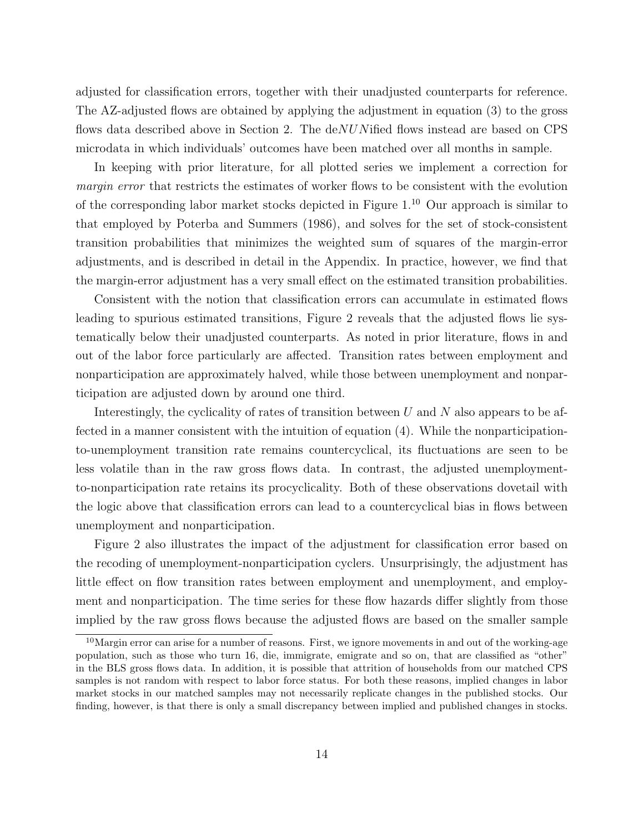adjusted for classification errors, together with their unadjusted counterparts for reference. The AZ-adjusted flows are obtained by applying the adjustment in equation (3) to the gross flows data described above in Section 2. The deNUNified flows instead are based on CPS microdata in which individuals' outcomes have been matched over all months in sample.

In keeping with prior literature, for all plotted series we implement a correction for margin error that restricts the estimates of worker flows to be consistent with the evolution of the corresponding labor market stocks depicted in Figure  $1<sup>10</sup>$  Our approach is similar to that employed by Poterba and Summers (1986), and solves for the set of stock-consistent transition probabilities that minimizes the weighted sum of squares of the margin-error adjustments, and is described in detail in the Appendix. In practice, however, we find that the margin-error adjustment has a very small effect on the estimated transition probabilities.

Consistent with the notion that classification errors can accumulate in estimated flows leading to spurious estimated transitions, Figure 2 reveals that the adjusted flows lie systematically below their unadjusted counterparts. As noted in prior literature, flows in and out of the labor force particularly are affected. Transition rates between employment and nonparticipation are approximately halved, while those between unemployment and nonparticipation are adjusted down by around one third.

Interestingly, the cyclicality of rates of transition between U and N also appears to be affected in a manner consistent with the intuition of equation (4). While the nonparticipationto-unemployment transition rate remains countercyclical, its fluctuations are seen to be less volatile than in the raw gross flows data. In contrast, the adjusted unemploymentto-nonparticipation rate retains its procyclicality. Both of these observations dovetail with the logic above that classification errors can lead to a countercyclical bias in flows between unemployment and nonparticipation.

Figure 2 also illustrates the impact of the adjustment for classification error based on the recoding of unemployment-nonparticipation cyclers. Unsurprisingly, the adjustment has little effect on flow transition rates between employment and unemployment, and employment and nonparticipation. The time series for these flow hazards differ slightly from those implied by the raw gross flows because the adjusted flows are based on the smaller sample

 $10$ Margin error can arise for a number of reasons. First, we ignore movements in and out of the working-age population, such as those who turn 16, die, immigrate, emigrate and so on, that are classified as "other" in the BLS gross flows data. In addition, it is possible that attrition of households from our matched CPS samples is not random with respect to labor force status. For both these reasons, implied changes in labor market stocks in our matched samples may not necessarily replicate changes in the published stocks. Our finding, however, is that there is only a small discrepancy between implied and published changes in stocks.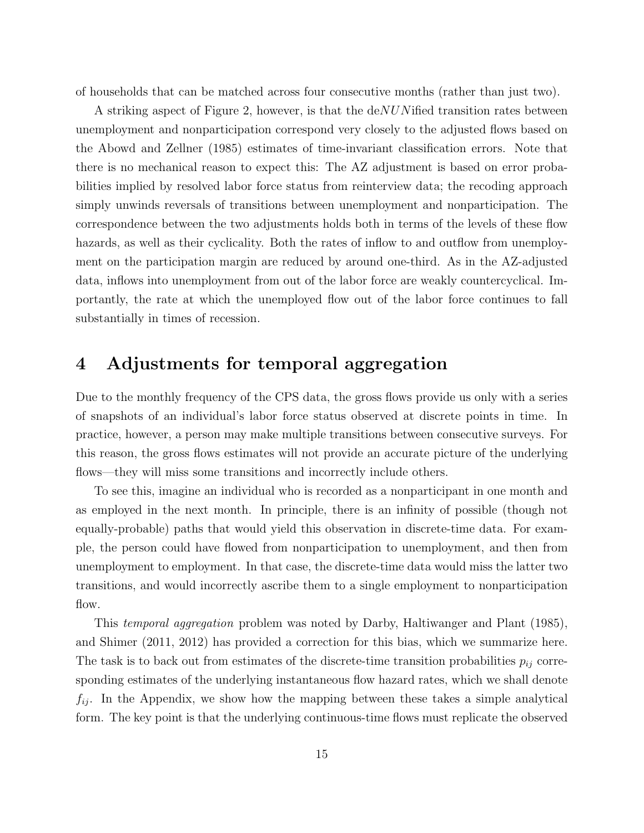of households that can be matched across four consecutive months (rather than just two).

A striking aspect of Figure 2, however, is that the  $deNUNi$  fied transition rates between unemployment and nonparticipation correspond very closely to the adjusted flows based on the Abowd and Zellner (1985) estimates of time-invariant classification errors. Note that there is no mechanical reason to expect this: The AZ adjustment is based on error probabilities implied by resolved labor force status from reinterview data; the recoding approach simply unwinds reversals of transitions between unemployment and nonparticipation. The correspondence between the two adjustments holds both in terms of the levels of these flow hazards, as well as their cyclicality. Both the rates of inflow to and outflow from unemployment on the participation margin are reduced by around one-third. As in the AZ-adjusted data, inflows into unemployment from out of the labor force are weakly countercyclical. Importantly, the rate at which the unemployed flow out of the labor force continues to fall substantially in times of recession.

# 4 Adjustments for temporal aggregation

Due to the monthly frequency of the CPS data, the gross flows provide us only with a series of snapshots of an individual's labor force status observed at discrete points in time. In practice, however, a person may make multiple transitions between consecutive surveys. For this reason, the gross flows estimates will not provide an accurate picture of the underlying flows—they will miss some transitions and incorrectly include others.

To see this, imagine an individual who is recorded as a nonparticipant in one month and as employed in the next month. In principle, there is an infinity of possible (though not equally-probable) paths that would yield this observation in discrete-time data. For example, the person could have flowed from nonparticipation to unemployment, and then from unemployment to employment. In that case, the discrete-time data would miss the latter two transitions, and would incorrectly ascribe them to a single employment to nonparticipation flow.

This temporal aggregation problem was noted by Darby, Haltiwanger and Plant (1985), and Shimer (2011, 2012) has provided a correction for this bias, which we summarize here. The task is to back out from estimates of the discrete-time transition probabilities  $p_{ij}$  corresponding estimates of the underlying instantaneous flow hazard rates, which we shall denote  $f_{ij}$ . In the Appendix, we show how the mapping between these takes a simple analytical form. The key point is that the underlying continuous-time flows must replicate the observed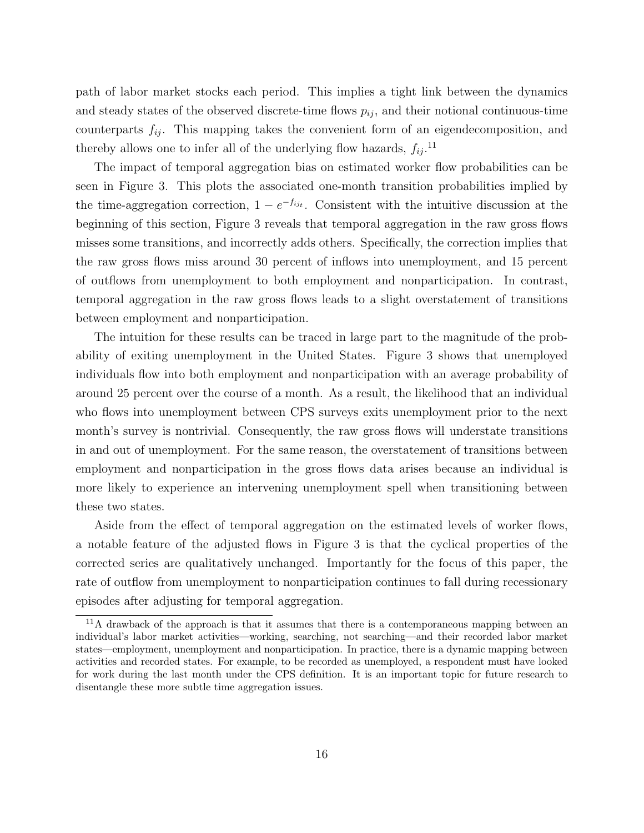path of labor market stocks each period. This implies a tight link between the dynamics and steady states of the observed discrete-time flows  $p_{ij}$ , and their notional continuous-time counterparts  $f_{ij}$ . This mapping takes the convenient form of an eigendecomposition, and thereby allows one to infer all of the underlying flow hazards,  $f_{ij}$ <sup>11</sup>

The impact of temporal aggregation bias on estimated worker flow probabilities can be seen in Figure 3. This plots the associated one-month transition probabilities implied by the time-aggregation correction,  $1 - e^{-f_{ijt}}$ . Consistent with the intuitive discussion at the beginning of this section, Figure 3 reveals that temporal aggregation in the raw gross flows misses some transitions, and incorrectly adds others. Specifically, the correction implies that the raw gross flows miss around 30 percent of inflows into unemployment, and 15 percent of outflows from unemployment to both employment and nonparticipation. In contrast, temporal aggregation in the raw gross flows leads to a slight overstatement of transitions between employment and nonparticipation.

The intuition for these results can be traced in large part to the magnitude of the probability of exiting unemployment in the United States. Figure 3 shows that unemployed individuals flow into both employment and nonparticipation with an average probability of around 25 percent over the course of a month. As a result, the likelihood that an individual who flows into unemployment between CPS surveys exits unemployment prior to the next month's survey is nontrivial. Consequently, the raw gross flows will understate transitions in and out of unemployment. For the same reason, the overstatement of transitions between employment and nonparticipation in the gross flows data arises because an individual is more likely to experience an intervening unemployment spell when transitioning between these two states.

Aside from the effect of temporal aggregation on the estimated levels of worker flows, a notable feature of the adjusted flows in Figure 3 is that the cyclical properties of the corrected series are qualitatively unchanged. Importantly for the focus of this paper, the rate of outflow from unemployment to nonparticipation continues to fall during recessionary episodes after adjusting for temporal aggregation.

<sup>&</sup>lt;sup>11</sup>A drawback of the approach is that it assumes that there is a contemporaneous mapping between an individual's labor market activities—working, searching, not searching—and their recorded labor market states—employment, unemployment and nonparticipation. In practice, there is a dynamic mapping between activities and recorded states. For example, to be recorded as unemployed, a respondent must have looked for work during the last month under the CPS definition. It is an important topic for future research to disentangle these more subtle time aggregation issues.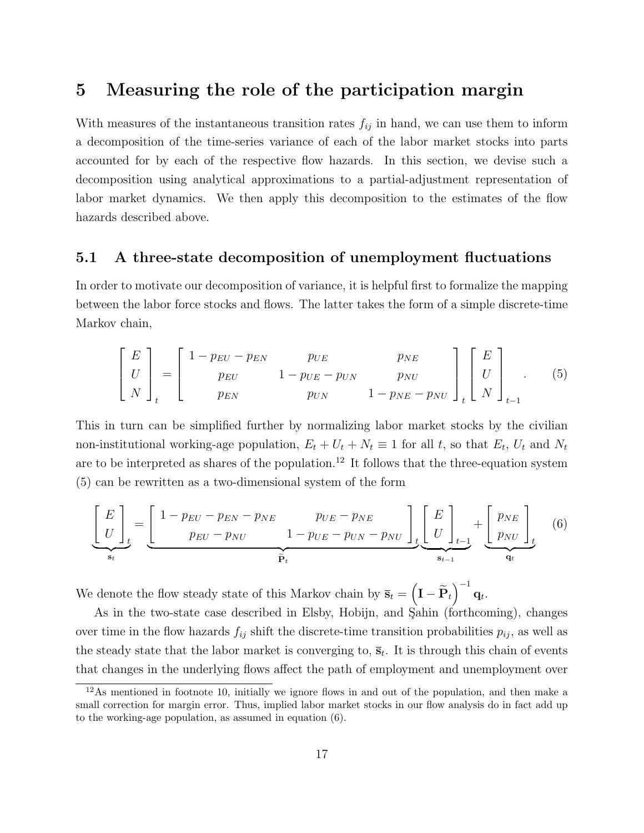# 5 Measuring the role of the participation margin

With measures of the instantaneous transition rates  $f_{ij}$  in hand, we can use them to inform a decomposition of the time-series variance of each of the labor market stocks into parts accounted for by each of the respective flow hazards. In this section, we devise such a decomposition using analytical approximations to a partial-adjustment representation of labor market dynamics. We then apply this decomposition to the estimates of the flow hazards described above.

#### 5.1 A three-state decomposition of unemployment fluctuations

In order to motivate our decomposition of variance, it is helpful first to formalize the mapping between the labor force stocks and flows. The latter takes the form of a simple discrete-time Markov chain,

$$
\begin{bmatrix} E \\ U \\ N \end{bmatrix}_{t} = \begin{bmatrix} 1 - p_{EU} - p_{EN} & p_{UE} & p_{NE} \\ p_{EU} & 1 - p_{UE} - p_{UN} & p_{NU} \\ p_{EN} & p_{UN} & 1 - p_{NE} - p_{NU} \end{bmatrix}_{t} \begin{bmatrix} E \\ U \\ N \end{bmatrix}_{t-1}.
$$
 (5)

This in turn can be simplified further by normalizing labor market stocks by the civilian non-institutional working-age population,  $E_t + U_t + N_t \equiv 1$  for all t, so that  $E_t$ ,  $U_t$  and  $N_t$ are to be interpreted as shares of the population.<sup>12</sup> It follows that the three-equation system (5) can be rewritten as a two-dimensional system of the form

$$
\underbrace{\begin{bmatrix} E \\ U \end{bmatrix}}_{s_t} = \underbrace{\begin{bmatrix} 1 - p_{EU} - p_{EN} - p_{NE} & p_{UE} - p_{NE} \\ p_{EU} - p_{NU} & 1 - p_{UE} - p_{UN} - p_{NU} \end{bmatrix}}_{\tilde{\mathbf{P}}_t} + \underbrace{\begin{bmatrix} E \\ U \end{bmatrix}}_{s_{t-1}} + \underbrace{\begin{bmatrix} p_{NE} \\ p_{NU} \end{bmatrix}}_{q_t} \tag{6}
$$

We denote the flow steady state of this Markov chain by  $\bar{\mathbf{s}}_t = (\mathbf{I} - \tilde{\mathbf{P}}_t)^{-1} \mathbf{q}_t$ .

As in the two-state case described in Elsby, Hobijn, and Şahin (forthcoming), changes over time in the flow hazards  $f_{ij}$  shift the discrete-time transition probabilities  $p_{ij}$ , as well as the steady state that the labor market is converging to,  $\bar{s}_t$ . It is through this chain of events that changes in the underlying flows affect the path of employment and unemployment over

<sup>12</sup>As mentioned in footnote 10, initially we ignore flows in and out of the population, and then make a small correction for margin error. Thus, implied labor market stocks in our flow analysis do in fact add up to the working-age population, as assumed in equation (6).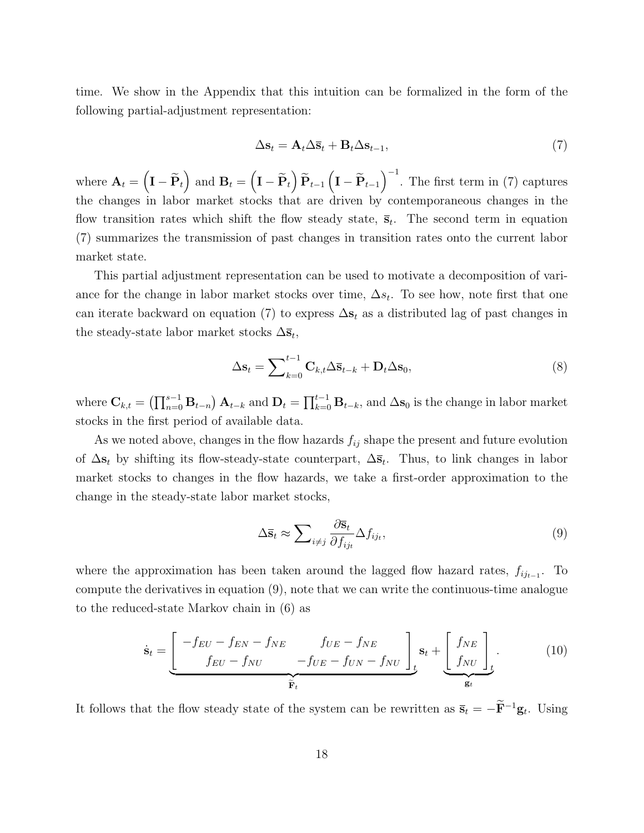time. We show in the Appendix that this intuition can be formalized in the form of the following partial-adjustment representation:

$$
\Delta \mathbf{s}_t = \mathbf{A}_t \Delta \overline{\mathbf{s}}_t + \mathbf{B}_t \Delta \mathbf{s}_{t-1},\tag{7}
$$

where  $\mathbf{A}_t = \left(\mathbf{I} - \widetilde{\mathbf{P}}_t\right)$  and  $\mathbf{B}_t = \left(\mathbf{I} - \widetilde{\mathbf{P}}_t\right) \widetilde{\mathbf{P}}_{t-1} \left(\mathbf{I} - \widetilde{\mathbf{P}}_{t-1}\right)^{-1}$ . The first term in (7) captures the changes in labor market stocks that are driven by contemporaneous changes in the flow transition rates which shift the flow steady state,  $\bar{s}_t$ . The second term in equation (7) summarizes the transmission of past changes in transition rates onto the current labor market state.

This partial adjustment representation can be used to motivate a decomposition of variance for the change in labor market stocks over time,  $\Delta s_t$ . To see how, note first that one can iterate backward on equation (7) to express  $\Delta s_t$  as a distributed lag of past changes in the steady-state labor market stocks  $\Delta \bar{s}_t$ ,

$$
\Delta \mathbf{s}_t = \sum_{k=0}^{t-1} \mathbf{C}_{k,t} \Delta \overline{\mathbf{s}}_{t-k} + \mathbf{D}_t \Delta \mathbf{s}_0,\tag{8}
$$

where  $\mathbf{C}_{k,t} = \left(\prod_{n=0}^{s-1} \mathbf{B}_{t-n}\right) \mathbf{A}_{t-k}$  and  $\mathbf{D}_t = \prod_{k=0}^{t-1} \mathbf{B}_{t-k}$ , and  $\Delta \mathbf{s}_0$  is the change in labor market stocks in the first period of available data.

As we noted above, changes in the flow hazards  $f_{ij}$  shape the present and future evolution of  $\Delta s_t$  by shifting its flow-steady-state counterpart,  $\Delta \bar{s}_t$ . Thus, to link changes in labor market stocks to changes in the flow hazards, we take a first-order approximation to the change in the steady-state labor market stocks,

$$
\Delta \overline{\mathbf{s}}_t \approx \sum_{i \neq j} \frac{\partial \overline{\mathbf{s}}_t}{\partial f_{ij_t}} \Delta f_{ij_t},\tag{9}
$$

where the approximation has been taken around the lagged flow hazard rates,  $f_{ij_{t-1}}$ . To compute the derivatives in equation (9), note that we can write the continuous-time analogue to the reduced-state Markov chain in (6) as

$$
\dot{\mathbf{s}}_t = \underbrace{\begin{bmatrix} -f_{EU} - f_{EN} - f_{NE} & f_{UE} - f_{NE} \\ f_{EU} - f_{NU} & -f_{UE} - f_{UN} - f_{NU} \end{bmatrix}}_{\tilde{\mathbf{F}}_t} \mathbf{s}_t + \underbrace{\begin{bmatrix} f_{NE} \\ f_{NU} \end{bmatrix}}_{\mathbf{g}_t}.
$$
 (10)

It follows that the flow steady state of the system can be rewritten as  $\bar{\mathbf{s}}_t = -\bar{\mathbf{F}}^{-1}\mathbf{g}_t$ . Using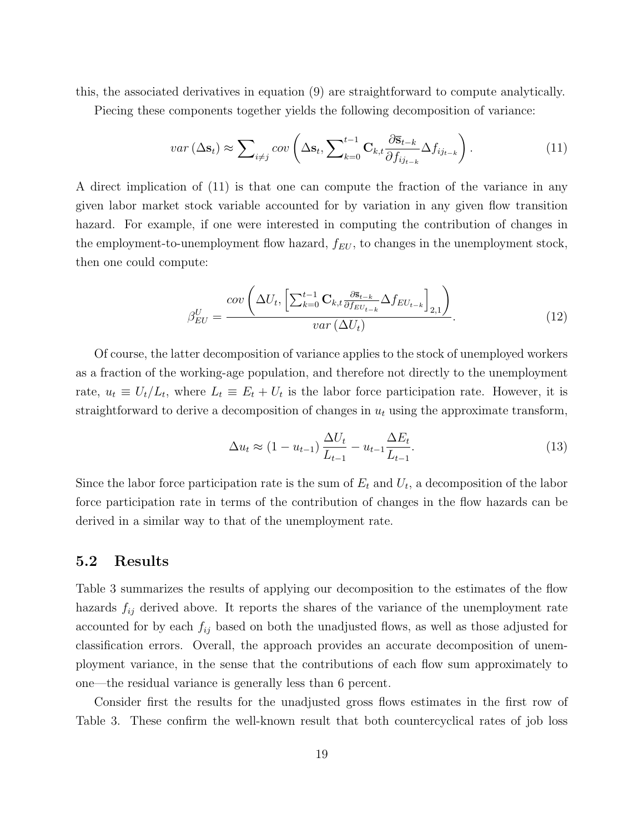this, the associated derivatives in equation (9) are straightforward to compute analytically.

Piecing these components together yields the following decomposition of variance:

$$
var\left(\Delta \mathbf{s}_{t}\right) \approx \sum_{i \neq j} cov\left(\Delta \mathbf{s}_{t}, \sum_{k=0}^{t-1} \mathbf{C}_{k,t} \frac{\partial \overline{\mathbf{s}}_{t-k}}{\partial f_{ij_{t-k}}} \Delta f_{ij_{t-k}}\right). \tag{11}
$$

A direct implication of (11) is that one can compute the fraction of the variance in any given labor market stock variable accounted for by variation in any given flow transition hazard. For example, if one were interested in computing the contribution of changes in the employment-to-unemployment flow hazard,  $f_{EU}$ , to changes in the unemployment stock, then one could compute:

$$
\beta_{EU}^U = \frac{cov\left(\Delta U_t, \left[\sum_{k=0}^{t-1} \mathbf{C}_{k,t} \frac{\partial \overline{s}_{t-k}}{\partial f_{EU_{t-k}} \Delta f_{EU_{t-k}}}\right]_{2,1}\right)}{var\left(\Delta U_t\right)}.
$$
\n(12)

Of course, the latter decomposition of variance applies to the stock of unemployed workers as a fraction of the working-age population, and therefore not directly to the unemployment rate,  $u_t \equiv U_t/L_t$ , where  $L_t \equiv E_t + U_t$  is the labor force participation rate. However, it is straightforward to derive a decomposition of changes in  $u_t$  using the approximate transform,

$$
\Delta u_t \approx (1 - u_{t-1}) \frac{\Delta U_t}{L_{t-1}} - u_{t-1} \frac{\Delta E_t}{L_{t-1}}.
$$
\n(13)

Since the labor force participation rate is the sum of  $E_t$  and  $U_t$ , a decomposition of the labor force participation rate in terms of the contribution of changes in the flow hazards can be derived in a similar way to that of the unemployment rate.

#### 5.2 Results

Table 3 summarizes the results of applying our decomposition to the estimates of the flow hazards  $f_{ij}$  derived above. It reports the shares of the variance of the unemployment rate accounted for by each  $f_{ij}$  based on both the unadjusted flows, as well as those adjusted for classification errors. Overall, the approach provides an accurate decomposition of unemployment variance, in the sense that the contributions of each flow sum approximately to one—the residual variance is generally less than 6 percent.

Consider first the results for the unadjusted gross flows estimates in the first row of Table 3. These confirm the well-known result that both countercyclical rates of job loss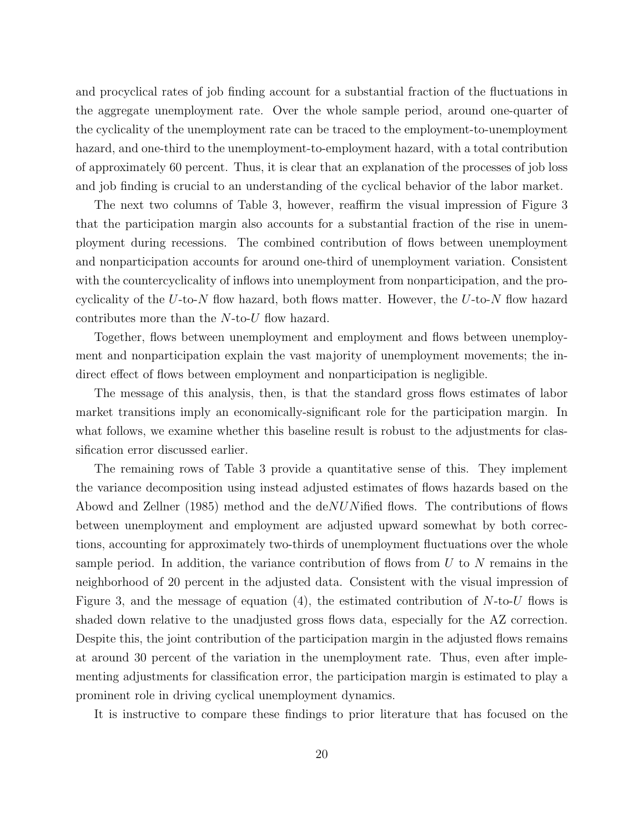and procyclical rates of job finding account for a substantial fraction of the fluctuations in the aggregate unemployment rate. Over the whole sample period, around one-quarter of the cyclicality of the unemployment rate can be traced to the employment-to-unemployment hazard, and one-third to the unemployment-to-employment hazard, with a total contribution of approximately 60 percent. Thus, it is clear that an explanation of the processes of job loss and job finding is crucial to an understanding of the cyclical behavior of the labor market.

The next two columns of Table 3, however, reaffirm the visual impression of Figure 3 that the participation margin also accounts for a substantial fraction of the rise in unemployment during recessions. The combined contribution of flows between unemployment and nonparticipation accounts for around one-third of unemployment variation. Consistent with the countercyclicality of inflows into unemployment from nonparticipation, and the procyclicality of the U-to-N flow hazard, both flows matter. However, the U-to-N flow hazard contributes more than the N-to-U flow hazard.

Together, flows between unemployment and employment and flows between unemployment and nonparticipation explain the vast majority of unemployment movements; the indirect effect of flows between employment and nonparticipation is negligible.

The message of this analysis, then, is that the standard gross flows estimates of labor market transitions imply an economically-significant role for the participation margin. In what follows, we examine whether this baseline result is robust to the adjustments for classification error discussed earlier.

The remaining rows of Table 3 provide a quantitative sense of this. They implement the variance decomposition using instead adjusted estimates of flows hazards based on the Abowd and Zellner  $(1985)$  method and the deNUNified flows. The contributions of flows between unemployment and employment are adjusted upward somewhat by both corrections, accounting for approximately two-thirds of unemployment fluctuations over the whole sample period. In addition, the variance contribution of flows from  $U$  to  $N$  remains in the neighborhood of 20 percent in the adjusted data. Consistent with the visual impression of Figure 3, and the message of equation  $(4)$ , the estimated contribution of N-to-U flows is shaded down relative to the unadjusted gross flows data, especially for the AZ correction. Despite this, the joint contribution of the participation margin in the adjusted flows remains at around 30 percent of the variation in the unemployment rate. Thus, even after implementing adjustments for classification error, the participation margin is estimated to play a prominent role in driving cyclical unemployment dynamics.

It is instructive to compare these findings to prior literature that has focused on the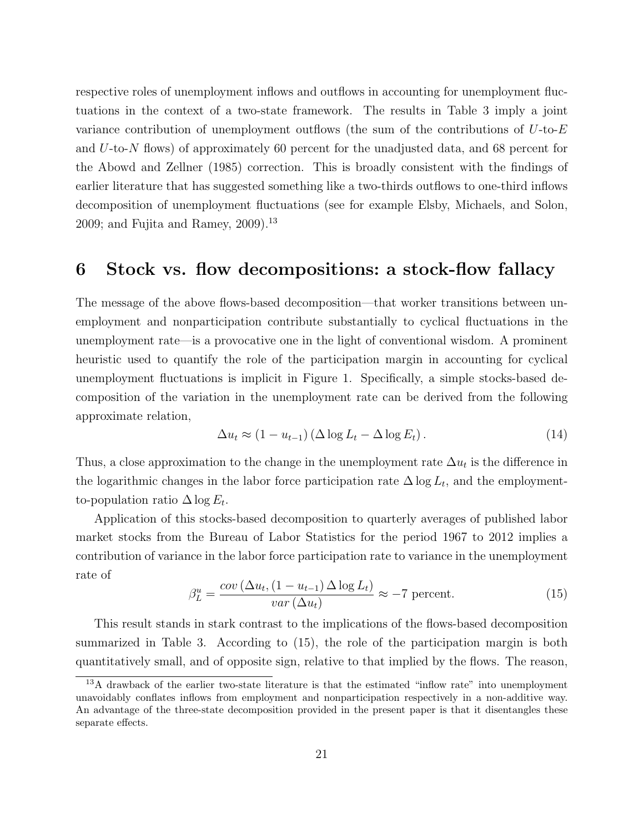respective roles of unemployment inflows and outflows in accounting for unemployment fluctuations in the context of a two-state framework. The results in Table 3 imply a joint variance contribution of unemployment outflows (the sum of the contributions of  $U$ -to- $E$ and U-to-N flows) of approximately 60 percent for the unadjusted data, and 68 percent for the Abowd and Zellner (1985) correction. This is broadly consistent with the findings of earlier literature that has suggested something like a two-thirds outflows to one-third inflows decomposition of unemployment fluctuations (see for example Elsby, Michaels, and Solon, 2009; and Fujita and Ramey,  $2009$ ).<sup>13</sup>

### 6 Stock vs. flow decompositions: a stock-flow fallacy

The message of the above flows-based decomposition—that worker transitions between unemployment and nonparticipation contribute substantially to cyclical fluctuations in the unemployment rate—is a provocative one in the light of conventional wisdom. A prominent heuristic used to quantify the role of the participation margin in accounting for cyclical unemployment fluctuations is implicit in Figure 1. Specifically, a simple stocks-based decomposition of the variation in the unemployment rate can be derived from the following approximate relation,

$$
\Delta u_t \approx (1 - u_{t-1}) \left( \Delta \log L_t - \Delta \log E_t \right). \tag{14}
$$

Thus, a close approximation to the change in the unemployment rate  $\Delta u_t$  is the difference in the logarithmic changes in the labor force participation rate  $\Delta \log L_t$ , and the employmentto-population ratio  $\Delta \log E_t$ .

Application of this stocks-based decomposition to quarterly averages of published labor market stocks from the Bureau of Labor Statistics for the period 1967 to 2012 implies a contribution of variance in the labor force participation rate to variance in the unemployment rate of

$$
\beta_L^u = \frac{cov(\Delta u_t, (1 - u_{t-1}) \Delta \log L_t)}{var(\Delta u_t)} \approx -7 \text{ percent.}
$$
\n(15)

This result stands in stark contrast to the implications of the flows-based decomposition summarized in Table 3. According to (15), the role of the participation margin is both quantitatively small, and of opposite sign, relative to that implied by the flows. The reason,

<sup>&</sup>lt;sup>13</sup>A drawback of the earlier two-state literature is that the estimated "inflow rate" into unemployment unavoidably conflates inflows from employment and nonparticipation respectively in a non-additive way. An advantage of the three-state decomposition provided in the present paper is that it disentangles these separate effects.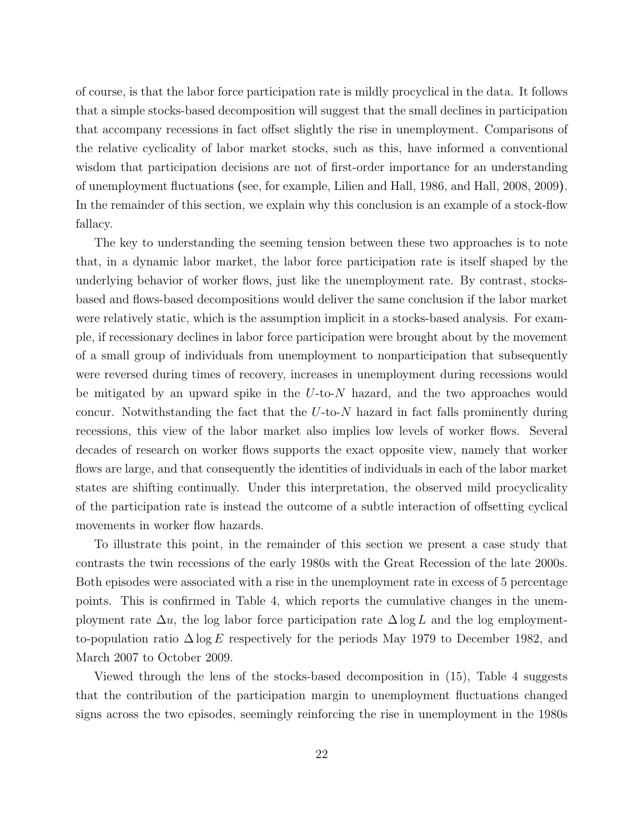of course, is that the labor force participation rate is mildly procyclical in the data. It follows that a simple stocks-based decomposition will suggest that the small declines in participation that accompany recessions in fact offset slightly the rise in unemployment. Comparisons of the relative cyclicality of labor market stocks, such as this, have informed a conventional wisdom that participation decisions are not of first-order importance for an understanding of unemployment fluctuations (see, for example, Lilien and Hall, 1986, and Hall, 2008, 2009). In the remainder of this section, we explain why this conclusion is an example of a stock-flow fallacy.

The key to understanding the seeming tension between these two approaches is to note that, in a dynamic labor market, the labor force participation rate is itself shaped by the underlying behavior of worker flows, just like the unemployment rate. By contrast, stocksbased and flows-based decompositions would deliver the same conclusion if the labor market were relatively static, which is the assumption implicit in a stocks-based analysis. For example, if recessionary declines in labor force participation were brought about by the movement of a small group of individuals from unemployment to nonparticipation that subsequently were reversed during times of recovery, increases in unemployment during recessions would be mitigated by an upward spike in the  $U$ -to- $N$  hazard, and the two approaches would concur. Notwithstanding the fact that the  $U$ -to- $N$  hazard in fact falls prominently during recessions, this view of the labor market also implies low levels of worker flows. Several decades of research on worker flows supports the exact opposite view, namely that worker flows are large, and that consequently the identities of individuals in each of the labor market states are shifting continually. Under this interpretation, the observed mild procyclicality of the participation rate is instead the outcome of a subtle interaction of offsetting cyclical movements in worker flow hazards.

To illustrate this point, in the remainder of this section we present a case study that contrasts the twin recessions of the early 1980s with the Great Recession of the late 2000s. Both episodes were associated with a rise in the unemployment rate in excess of 5 percentage points. This is confirmed in Table 4, which reports the cumulative changes in the unemployment rate  $\Delta u$ , the log labor force participation rate  $\Delta \log L$  and the log employmentto-population ratio  $\Delta \log E$  respectively for the periods May 1979 to December 1982, and March 2007 to October 2009.

Viewed through the lens of the stocks-based decomposition in (15), Table 4 suggests that the contribution of the participation margin to unemployment fluctuations changed signs across the two episodes, seemingly reinforcing the rise in unemployment in the 1980s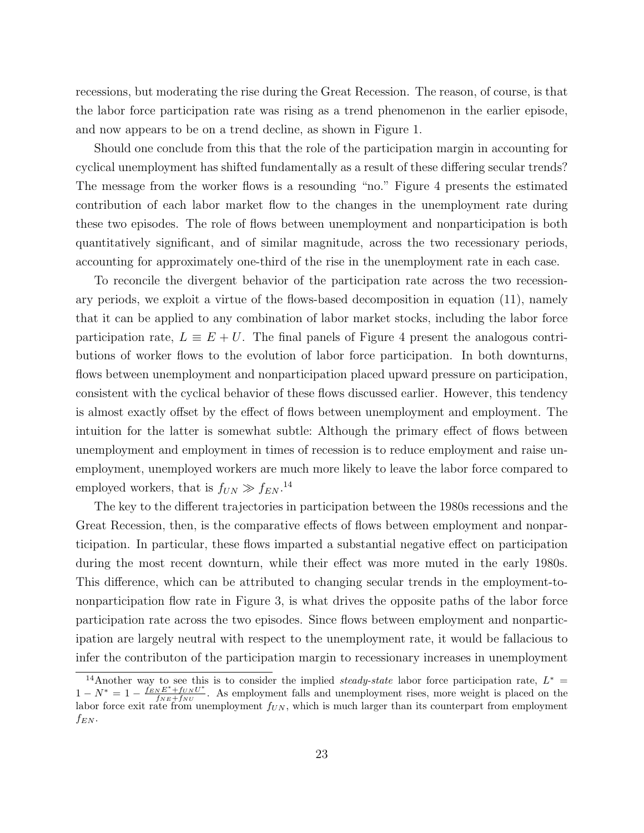recessions, but moderating the rise during the Great Recession. The reason, of course, is that the labor force participation rate was rising as a trend phenomenon in the earlier episode, and now appears to be on a trend decline, as shown in Figure 1.

Should one conclude from this that the role of the participation margin in accounting for cyclical unemployment has shifted fundamentally as a result of these differing secular trends? The message from the worker flows is a resounding "no." Figure 4 presents the estimated contribution of each labor market flow to the changes in the unemployment rate during these two episodes. The role of flows between unemployment and nonparticipation is both quantitatively significant, and of similar magnitude, across the two recessionary periods, accounting for approximately one-third of the rise in the unemployment rate in each case.

To reconcile the divergent behavior of the participation rate across the two recessionary periods, we exploit a virtue of the flows-based decomposition in equation (11), namely that it can be applied to any combination of labor market stocks, including the labor force participation rate,  $L \equiv E + U$ . The final panels of Figure 4 present the analogous contributions of worker flows to the evolution of labor force participation. In both downturns, flows between unemployment and nonparticipation placed upward pressure on participation, consistent with the cyclical behavior of these flows discussed earlier. However, this tendency is almost exactly offset by the effect of flows between unemployment and employment. The intuition for the latter is somewhat subtle: Although the primary effect of flows between unemployment and employment in times of recession is to reduce employment and raise unemployment, unemployed workers are much more likely to leave the labor force compared to employed workers, that is  $f_{UN} \gg f_{EN}.$ <sup>14</sup>

The key to the different trajectories in participation between the 1980s recessions and the Great Recession, then, is the comparative effects of flows between employment and nonparticipation. In particular, these flows imparted a substantial negative effect on participation during the most recent downturn, while their effect was more muted in the early 1980s. This difference, which can be attributed to changing secular trends in the employment-tononparticipation flow rate in Figure 3, is what drives the opposite paths of the labor force participation rate across the two episodes. Since flows between employment and nonparticipation are largely neutral with respect to the unemployment rate, it would be fallacious to infer the contributon of the participation margin to recessionary increases in unemployment

<sup>&</sup>lt;sup>14</sup>Another way to see this is to consider the implied *steady-state* labor force participation rate,  $L^*$  =  $1 - N^* = 1 - \frac{\tilde{f}_{EN} E^* + f_{UN} U^*}{f_{NIR} + f_{NII}}$  $\frac{N^{E'} + f_{UN}U}{f_{NL} + f_{NU}}$ . As employment falls and unemployment rises, more weight is placed on the labor force exit rate from unemployment  $f_{UN}$ , which is much larger than its counterpart from employment  $f_{EN}$ .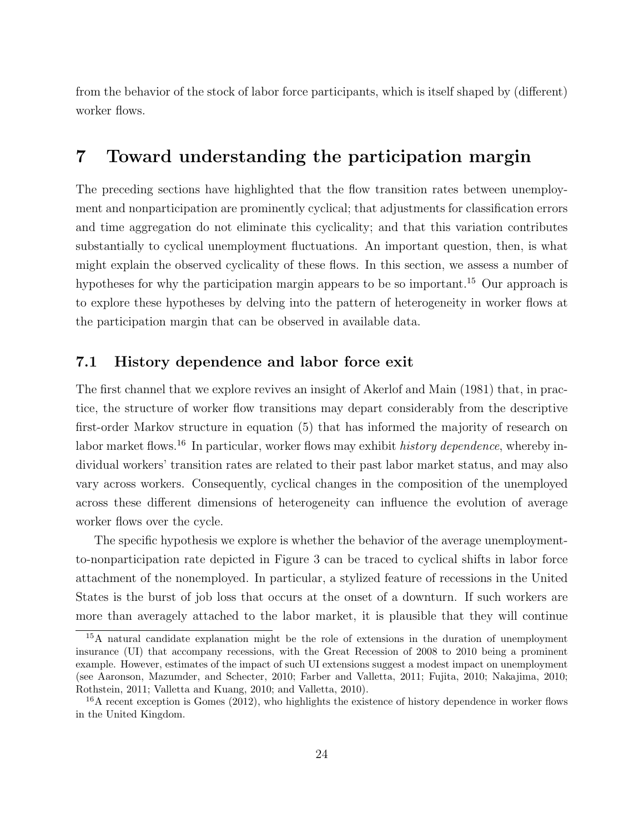from the behavior of the stock of labor force participants, which is itself shaped by (different) worker flows.

# 7 Toward understanding the participation margin

The preceding sections have highlighted that the flow transition rates between unemployment and nonparticipation are prominently cyclical; that adjustments for classification errors and time aggregation do not eliminate this cyclicality; and that this variation contributes substantially to cyclical unemployment fluctuations. An important question, then, is what might explain the observed cyclicality of these flows. In this section, we assess a number of hypotheses for why the participation margin appears to be so important.<sup>15</sup> Our approach is to explore these hypotheses by delving into the pattern of heterogeneity in worker flows at the participation margin that can be observed in available data.

### 7.1 History dependence and labor force exit

The first channel that we explore revives an insight of Akerlof and Main (1981) that, in practice, the structure of worker flow transitions may depart considerably from the descriptive first-order Markov structure in equation (5) that has informed the majority of research on labor market flows.<sup>16</sup> In particular, worker flows may exhibit history dependence, whereby individual workers' transition rates are related to their past labor market status, and may also vary across workers. Consequently, cyclical changes in the composition of the unemployed across these different dimensions of heterogeneity can influence the evolution of average worker flows over the cycle.

The specific hypothesis we explore is whether the behavior of the average unemploymentto-nonparticipation rate depicted in Figure 3 can be traced to cyclical shifts in labor force attachment of the nonemployed. In particular, a stylized feature of recessions in the United States is the burst of job loss that occurs at the onset of a downturn. If such workers are more than averagely attached to the labor market, it is plausible that they will continue

<sup>&</sup>lt;sup>15</sup>A natural candidate explanation might be the role of extensions in the duration of unemployment insurance (UI) that accompany recessions, with the Great Recession of 2008 to 2010 being a prominent example. However, estimates of the impact of such UI extensions suggest a modest impact on unemployment (see Aaronson, Mazumder, and Schecter, 2010; Farber and Valletta, 2011; Fujita, 2010; Nakajima, 2010; Rothstein, 2011; Valletta and Kuang, 2010; and Valletta, 2010).

<sup>&</sup>lt;sup>16</sup>A recent exception is Gomes (2012), who highlights the existence of history dependence in worker flows in the United Kingdom.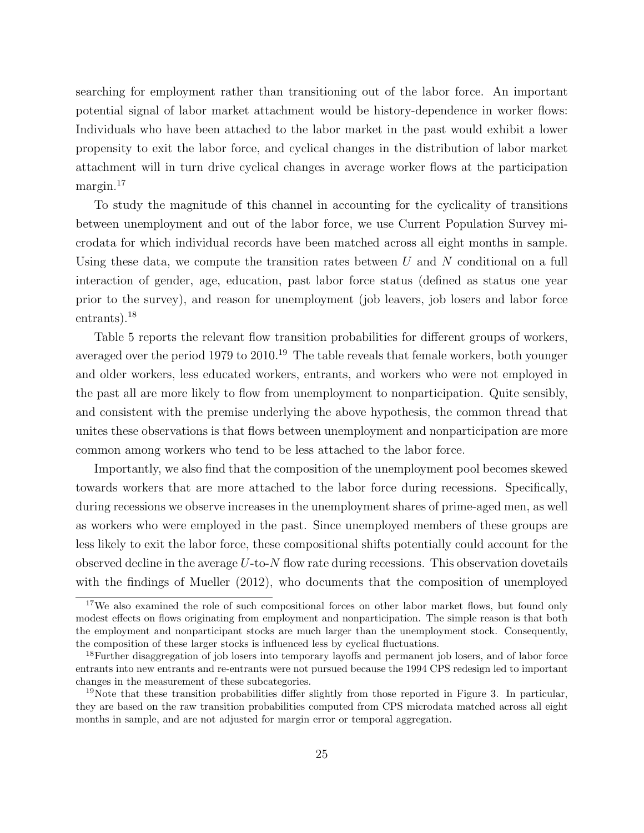searching for employment rather than transitioning out of the labor force. An important potential signal of labor market attachment would be history-dependence in worker flows: Individuals who have been attached to the labor market in the past would exhibit a lower propensity to exit the labor force, and cyclical changes in the distribution of labor market attachment will in turn drive cyclical changes in average worker flows at the participation margin.<sup>17</sup>

To study the magnitude of this channel in accounting for the cyclicality of transitions between unemployment and out of the labor force, we use Current Population Survey microdata for which individual records have been matched across all eight months in sample. Using these data, we compute the transition rates between  $U$  and  $N$  conditional on a full interaction of gender, age, education, past labor force status (defined as status one year prior to the survey), and reason for unemployment (job leavers, job losers and labor force entrants).<sup>18</sup>

Table 5 reports the relevant flow transition probabilities for different groups of workers, averaged over the period  $1979$  to  $2010<sup>19</sup>$ . The table reveals that female workers, both younger and older workers, less educated workers, entrants, and workers who were not employed in the past all are more likely to flow from unemployment to nonparticipation. Quite sensibly, and consistent with the premise underlying the above hypothesis, the common thread that unites these observations is that flows between unemployment and nonparticipation are more common among workers who tend to be less attached to the labor force.

Importantly, we also find that the composition of the unemployment pool becomes skewed towards workers that are more attached to the labor force during recessions. Specifically, during recessions we observe increases in the unemployment shares of prime-aged men, as well as workers who were employed in the past. Since unemployed members of these groups are less likely to exit the labor force, these compositional shifts potentially could account for the observed decline in the average  $U$ -to- $N$  flow rate during recessions. This observation dovetails with the findings of Mueller (2012), who documents that the composition of unemployed

<sup>&</sup>lt;sup>17</sup>We also examined the role of such compositional forces on other labor market flows, but found only modest effects on flows originating from employment and nonparticipation. The simple reason is that both the employment and nonparticipant stocks are much larger than the unemployment stock. Consequently, the composition of these larger stocks is influenced less by cyclical fluctuations.

<sup>&</sup>lt;sup>18</sup>Further disaggregation of job losers into temporary layoffs and permanent job losers, and of labor force entrants into new entrants and re-entrants were not pursued because the 1994 CPS redesign led to important changes in the measurement of these subcategories.

 $19$ Note that these transition probabilities differ slightly from those reported in Figure 3. In particular, they are based on the raw transition probabilities computed from CPS microdata matched across all eight months in sample, and are not adjusted for margin error or temporal aggregation.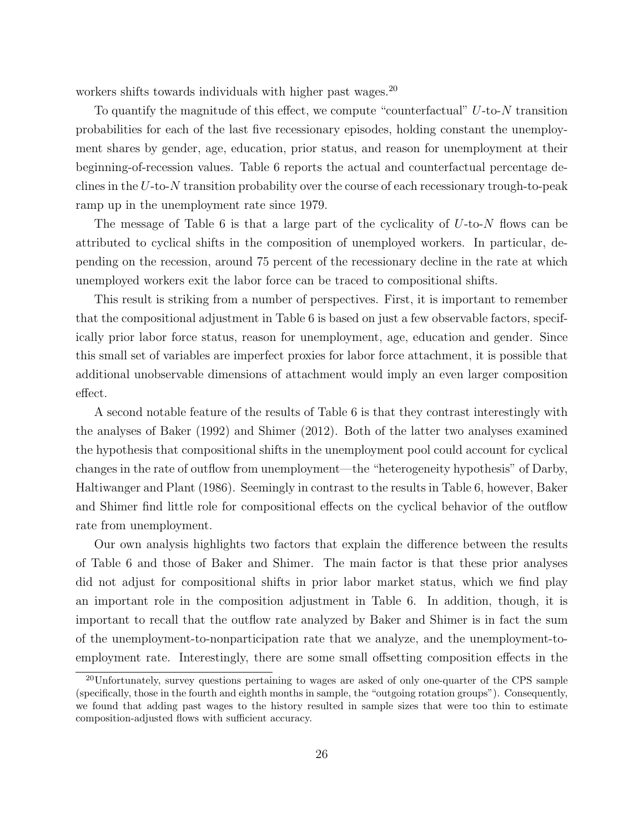workers shifts towards individuals with higher past wages.<sup>20</sup>

To quantify the magnitude of this effect, we compute "counterfactual"  $U$ -to- $N$  transition probabilities for each of the last five recessionary episodes, holding constant the unemployment shares by gender, age, education, prior status, and reason for unemployment at their beginning-of-recession values. Table 6 reports the actual and counterfactual percentage declines in the  $U$ -to- $N$  transition probability over the course of each recessionary trough-to-peak ramp up in the unemployment rate since 1979.

The message of Table 6 is that a large part of the cyclicality of  $U$ -to- $N$  flows can be attributed to cyclical shifts in the composition of unemployed workers. In particular, depending on the recession, around 75 percent of the recessionary decline in the rate at which unemployed workers exit the labor force can be traced to compositional shifts.

This result is striking from a number of perspectives. First, it is important to remember that the compositional adjustment in Table 6 is based on just a few observable factors, specifically prior labor force status, reason for unemployment, age, education and gender. Since this small set of variables are imperfect proxies for labor force attachment, it is possible that additional unobservable dimensions of attachment would imply an even larger composition effect.

A second notable feature of the results of Table 6 is that they contrast interestingly with the analyses of Baker (1992) and Shimer (2012). Both of the latter two analyses examined the hypothesis that compositional shifts in the unemployment pool could account for cyclical changes in the rate of outflow from unemployment—the "heterogeneity hypothesis" of Darby, Haltiwanger and Plant (1986). Seemingly in contrast to the results in Table 6, however, Baker and Shimer find little role for compositional effects on the cyclical behavior of the outflow rate from unemployment.

Our own analysis highlights two factors that explain the difference between the results of Table 6 and those of Baker and Shimer. The main factor is that these prior analyses did not adjust for compositional shifts in prior labor market status, which we find play an important role in the composition adjustment in Table 6. In addition, though, it is important to recall that the outflow rate analyzed by Baker and Shimer is in fact the sum of the unemployment-to-nonparticipation rate that we analyze, and the unemployment-toemployment rate. Interestingly, there are some small offsetting composition effects in the

<sup>20</sup>Unfortunately, survey questions pertaining to wages are asked of only one-quarter of the CPS sample (specifically, those in the fourth and eighth months in sample, the "outgoing rotation groups"). Consequently, we found that adding past wages to the history resulted in sample sizes that were too thin to estimate composition-adjusted flows with sufficient accuracy.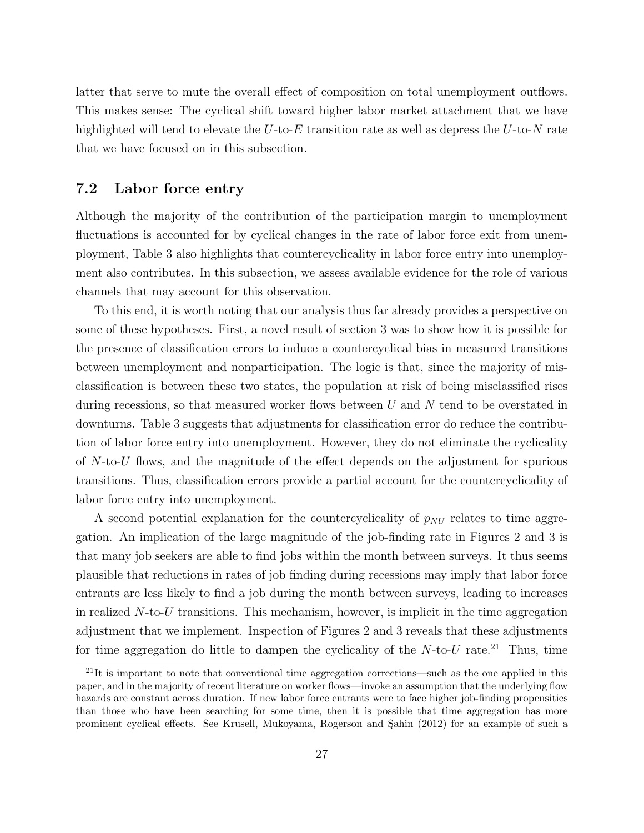latter that serve to mute the overall effect of composition on total unemployment outflows. This makes sense: The cyclical shift toward higher labor market attachment that we have highlighted will tend to elevate the  $U$ -to- $E$  transition rate as well as depress the  $U$ -to- $N$  rate that we have focused on in this subsection.

### 7.2 Labor force entry

Although the majority of the contribution of the participation margin to unemployment fluctuations is accounted for by cyclical changes in the rate of labor force exit from unemployment, Table 3 also highlights that countercyclicality in labor force entry into unemployment also contributes. In this subsection, we assess available evidence for the role of various channels that may account for this observation.

To this end, it is worth noting that our analysis thus far already provides a perspective on some of these hypotheses. First, a novel result of section 3 was to show how it is possible for the presence of classification errors to induce a countercyclical bias in measured transitions between unemployment and nonparticipation. The logic is that, since the majority of misclassification is between these two states, the population at risk of being misclassified rises during recessions, so that measured worker flows between  $U$  and  $N$  tend to be overstated in downturns. Table 3 suggests that adjustments for classification error do reduce the contribution of labor force entry into unemployment. However, they do not eliminate the cyclicality of N-to-U flows, and the magnitude of the effect depends on the adjustment for spurious transitions. Thus, classification errors provide a partial account for the countercyclicality of labor force entry into unemployment.

A second potential explanation for the countercyclicality of  $p_{NU}$  relates to time aggregation. An implication of the large magnitude of the job-finding rate in Figures 2 and 3 is that many job seekers are able to find jobs within the month between surveys. It thus seems plausible that reductions in rates of job finding during recessions may imply that labor force entrants are less likely to find a job during the month between surveys, leading to increases in realized  $N$ -to-U transitions. This mechanism, however, is implicit in the time aggregation adjustment that we implement. Inspection of Figures 2 and 3 reveals that these adjustments for time aggregation do little to dampen the cyclicality of the  $N$ -to- $U$  rate.<sup>21</sup> Thus, time

 $^{21}$ It is important to note that conventional time aggregation corrections—such as the one applied in this paper, and in the majority of recent literature on worker flows—invoke an assumption that the underlying flow hazards are constant across duration. If new labor force entrants were to face higher job-finding propensities than those who have been searching for some time, then it is possible that time aggregation has more prominent cyclical effects. See Krusell, Mukoyama, Rogerson and S¸ahin (2012) for an example of such a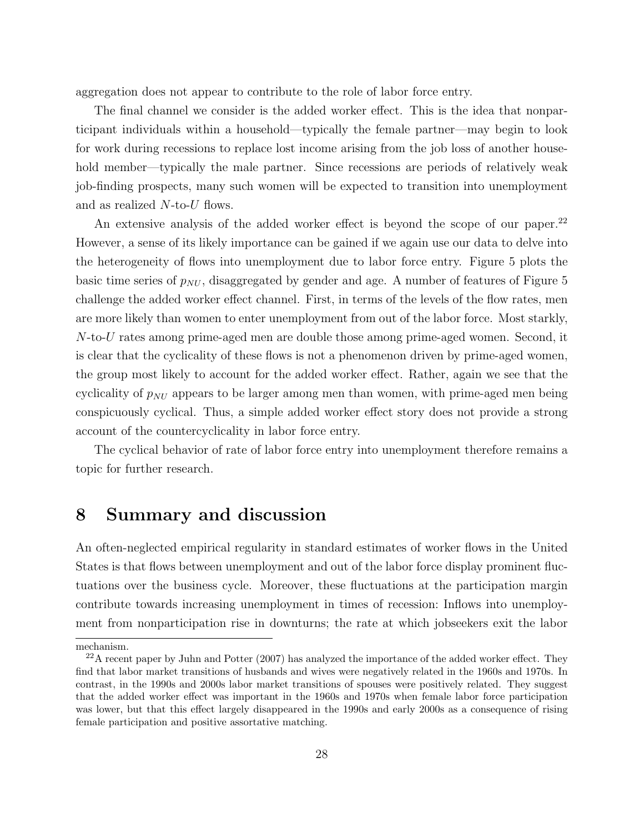aggregation does not appear to contribute to the role of labor force entry.

The final channel we consider is the added worker effect. This is the idea that nonparticipant individuals within a household—typically the female partner—may begin to look for work during recessions to replace lost income arising from the job loss of another household member—typically the male partner. Since recessions are periods of relatively weak job-finding prospects, many such women will be expected to transition into unemployment and as realized N-to-U flows.

An extensive analysis of the added worker effect is beyond the scope of our paper.<sup>22</sup> However, a sense of its likely importance can be gained if we again use our data to delve into the heterogeneity of flows into unemployment due to labor force entry. Figure 5 plots the basic time series of  $p_{NU}$ , disaggregated by gender and age. A number of features of Figure 5 challenge the added worker effect channel. First, in terms of the levels of the flow rates, men are more likely than women to enter unemployment from out of the labor force. Most starkly, N-to-U rates among prime-aged men are double those among prime-aged women. Second, it is clear that the cyclicality of these flows is not a phenomenon driven by prime-aged women, the group most likely to account for the added worker effect. Rather, again we see that the cyclicality of  $p_{NU}$  appears to be larger among men than women, with prime-aged men being conspicuously cyclical. Thus, a simple added worker effect story does not provide a strong account of the countercyclicality in labor force entry.

The cyclical behavior of rate of labor force entry into unemployment therefore remains a topic for further research.

### 8 Summary and discussion

An often-neglected empirical regularity in standard estimates of worker flows in the United States is that flows between unemployment and out of the labor force display prominent fluctuations over the business cycle. Moreover, these fluctuations at the participation margin contribute towards increasing unemployment in times of recession: Inflows into unemployment from nonparticipation rise in downturns; the rate at which jobseekers exit the labor

mechanism.

 $^{22}$ A recent paper by Juhn and Potter (2007) has analyzed the importance of the added worker effect. They find that labor market transitions of husbands and wives were negatively related in the 1960s and 1970s. In contrast, in the 1990s and 2000s labor market transitions of spouses were positively related. They suggest that the added worker effect was important in the 1960s and 1970s when female labor force participation was lower, but that this effect largely disappeared in the 1990s and early 2000s as a consequence of rising female participation and positive assortative matching.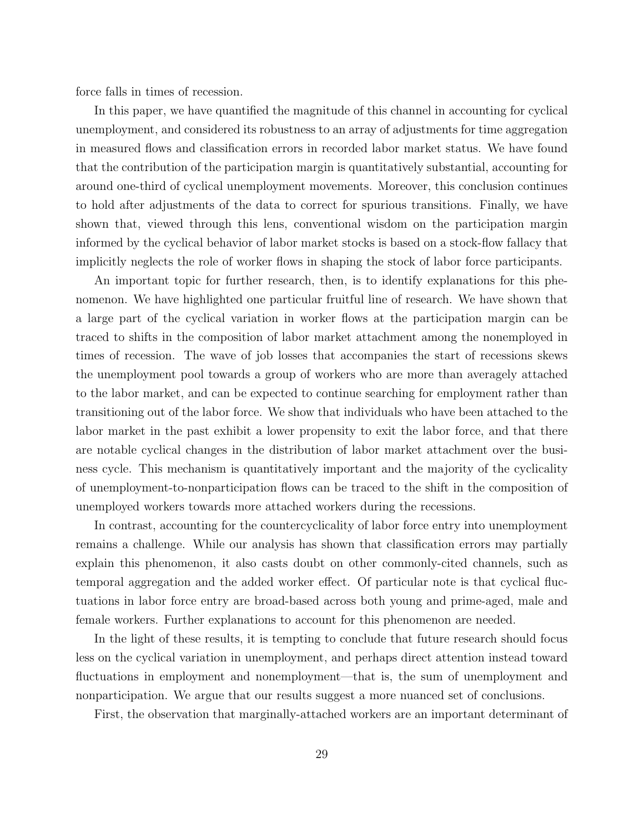force falls in times of recession.

In this paper, we have quantified the magnitude of this channel in accounting for cyclical unemployment, and considered its robustness to an array of adjustments for time aggregation in measured flows and classification errors in recorded labor market status. We have found that the contribution of the participation margin is quantitatively substantial, accounting for around one-third of cyclical unemployment movements. Moreover, this conclusion continues to hold after adjustments of the data to correct for spurious transitions. Finally, we have shown that, viewed through this lens, conventional wisdom on the participation margin informed by the cyclical behavior of labor market stocks is based on a stock-flow fallacy that implicitly neglects the role of worker flows in shaping the stock of labor force participants.

An important topic for further research, then, is to identify explanations for this phenomenon. We have highlighted one particular fruitful line of research. We have shown that a large part of the cyclical variation in worker flows at the participation margin can be traced to shifts in the composition of labor market attachment among the nonemployed in times of recession. The wave of job losses that accompanies the start of recessions skews the unemployment pool towards a group of workers who are more than averagely attached to the labor market, and can be expected to continue searching for employment rather than transitioning out of the labor force. We show that individuals who have been attached to the labor market in the past exhibit a lower propensity to exit the labor force, and that there are notable cyclical changes in the distribution of labor market attachment over the business cycle. This mechanism is quantitatively important and the majority of the cyclicality of unemployment-to-nonparticipation flows can be traced to the shift in the composition of unemployed workers towards more attached workers during the recessions.

In contrast, accounting for the countercyclicality of labor force entry into unemployment remains a challenge. While our analysis has shown that classification errors may partially explain this phenomenon, it also casts doubt on other commonly-cited channels, such as temporal aggregation and the added worker effect. Of particular note is that cyclical fluctuations in labor force entry are broad-based across both young and prime-aged, male and female workers. Further explanations to account for this phenomenon are needed.

In the light of these results, it is tempting to conclude that future research should focus less on the cyclical variation in unemployment, and perhaps direct attention instead toward fluctuations in employment and nonemployment—that is, the sum of unemployment and nonparticipation. We argue that our results suggest a more nuanced set of conclusions.

First, the observation that marginally-attached workers are an important determinant of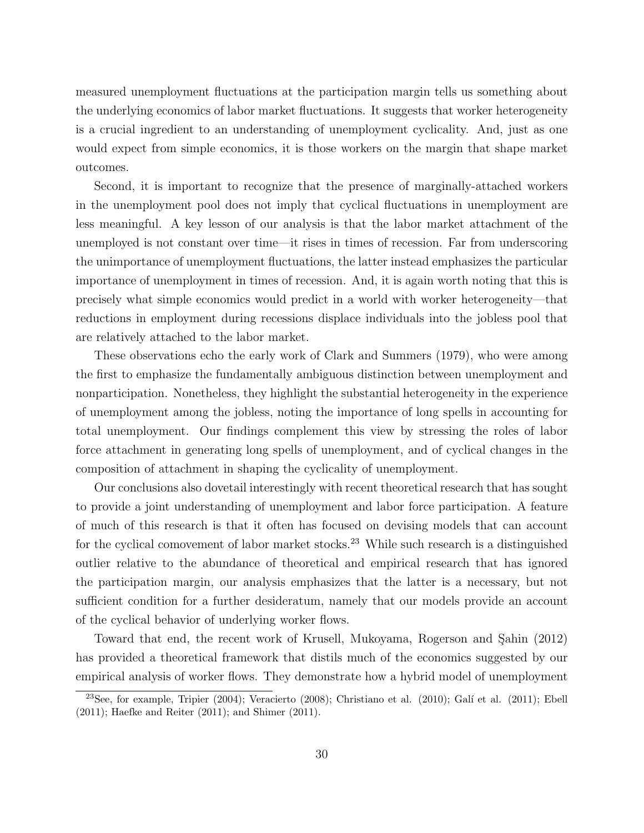measured unemployment fluctuations at the participation margin tells us something about the underlying economics of labor market fluctuations. It suggests that worker heterogeneity is a crucial ingredient to an understanding of unemployment cyclicality. And, just as one would expect from simple economics, it is those workers on the margin that shape market outcomes.

Second, it is important to recognize that the presence of marginally-attached workers in the unemployment pool does not imply that cyclical fluctuations in unemployment are less meaningful. A key lesson of our analysis is that the labor market attachment of the unemployed is not constant over time—it rises in times of recession. Far from underscoring the unimportance of unemployment fluctuations, the latter instead emphasizes the particular importance of unemployment in times of recession. And, it is again worth noting that this is precisely what simple economics would predict in a world with worker heterogeneity—that reductions in employment during recessions displace individuals into the jobless pool that are relatively attached to the labor market.

These observations echo the early work of Clark and Summers (1979), who were among the first to emphasize the fundamentally ambiguous distinction between unemployment and nonparticipation. Nonetheless, they highlight the substantial heterogeneity in the experience of unemployment among the jobless, noting the importance of long spells in accounting for total unemployment. Our findings complement this view by stressing the roles of labor force attachment in generating long spells of unemployment, and of cyclical changes in the composition of attachment in shaping the cyclicality of unemployment.

Our conclusions also dovetail interestingly with recent theoretical research that has sought to provide a joint understanding of unemployment and labor force participation. A feature of much of this research is that it often has focused on devising models that can account for the cyclical comovement of labor market stocks.<sup>23</sup> While such research is a distinguished outlier relative to the abundance of theoretical and empirical research that has ignored the participation margin, our analysis emphasizes that the latter is a necessary, but not sufficient condition for a further desideratum, namely that our models provide an account of the cyclical behavior of underlying worker flows.

Toward that end, the recent work of Krusell, Mukoyama, Rogerson and Şahin (2012) has provided a theoretical framework that distils much of the economics suggested by our empirical analysis of worker flows. They demonstrate how a hybrid model of unemployment

 $^{23}$ See, for example, Tripier (2004); Veracierto (2008); Christiano et al. (2010); Galí et al. (2011); Ebell (2011); Haefke and Reiter (2011); and Shimer (2011).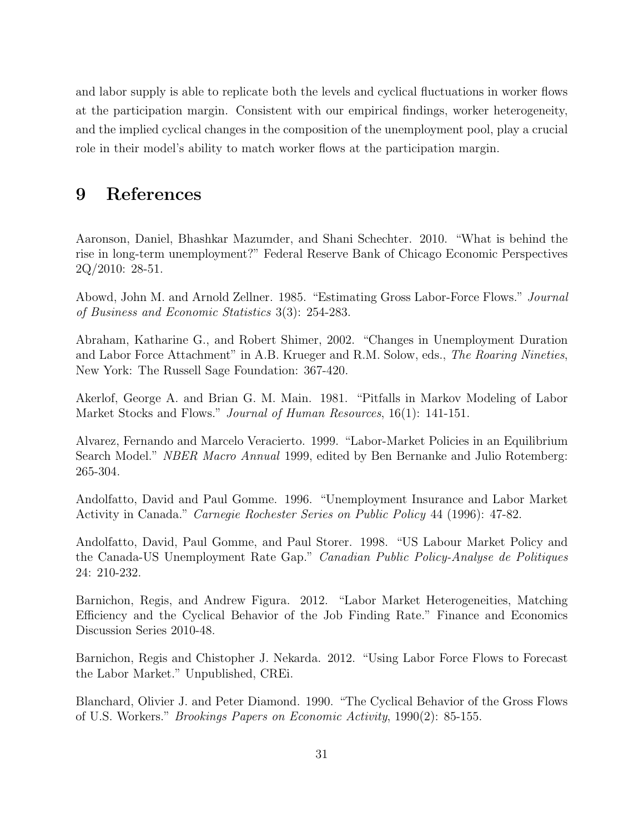and labor supply is able to replicate both the levels and cyclical fluctuations in worker flows at the participation margin. Consistent with our empirical findings, worker heterogeneity, and the implied cyclical changes in the composition of the unemployment pool, play a crucial role in their model's ability to match worker flows at the participation margin.

# 9 References

Aaronson, Daniel, Bhashkar Mazumder, and Shani Schechter. 2010. "What is behind the rise in long-term unemployment?" Federal Reserve Bank of Chicago Economic Perspectives 2Q/2010: 28-51.

Abowd, John M. and Arnold Zellner. 1985. "Estimating Gross Labor-Force Flows." Journal of Business and Economic Statistics 3(3): 254-283.

Abraham, Katharine G., and Robert Shimer, 2002. "Changes in Unemployment Duration and Labor Force Attachment" in A.B. Krueger and R.M. Solow, eds., The Roaring Nineties, New York: The Russell Sage Foundation: 367-420.

Akerlof, George A. and Brian G. M. Main. 1981. "Pitfalls in Markov Modeling of Labor Market Stocks and Flows." *Journal of Human Resources*, 16(1): 141-151.

Alvarez, Fernando and Marcelo Veracierto. 1999. "Labor-Market Policies in an Equilibrium Search Model." NBER Macro Annual 1999, edited by Ben Bernanke and Julio Rotemberg: 265-304.

Andolfatto, David and Paul Gomme. 1996. "Unemployment Insurance and Labor Market Activity in Canada." Carnegie Rochester Series on Public Policy 44 (1996): 47-82.

Andolfatto, David, Paul Gomme, and Paul Storer. 1998. "US Labour Market Policy and the Canada-US Unemployment Rate Gap." Canadian Public Policy-Analyse de Politiques 24: 210-232.

Barnichon, Regis, and Andrew Figura. 2012. "Labor Market Heterogeneities, Matching Efficiency and the Cyclical Behavior of the Job Finding Rate." Finance and Economics Discussion Series 2010-48.

Barnichon, Regis and Chistopher J. Nekarda. 2012. "Using Labor Force Flows to Forecast the Labor Market." Unpublished, CREi.

Blanchard, Olivier J. and Peter Diamond. 1990. "The Cyclical Behavior of the Gross Flows of U.S. Workers." Brookings Papers on Economic Activity, 1990(2): 85-155.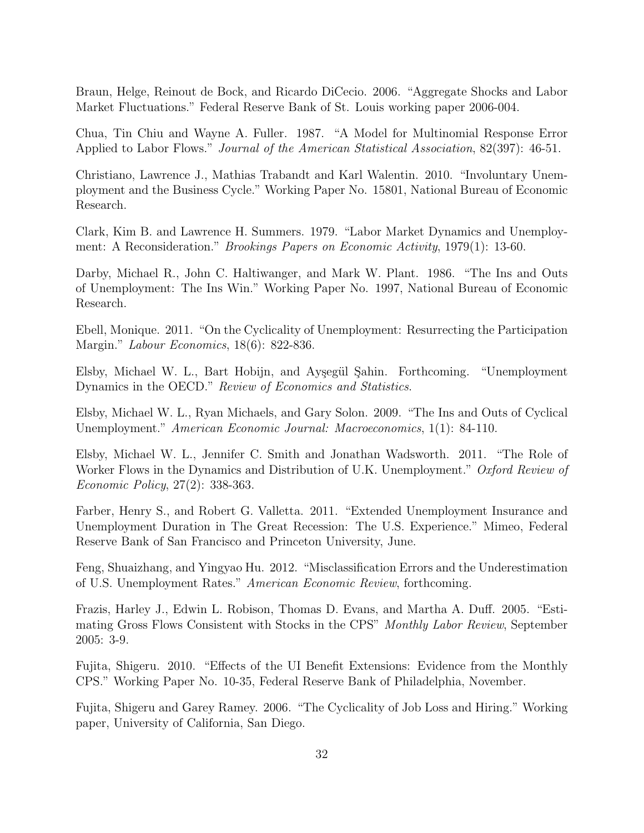Braun, Helge, Reinout de Bock, and Ricardo DiCecio. 2006. "Aggregate Shocks and Labor Market Fluctuations." Federal Reserve Bank of St. Louis working paper 2006-004.

Chua, Tin Chiu and Wayne A. Fuller. 1987. "A Model for Multinomial Response Error Applied to Labor Flows." Journal of the American Statistical Association, 82(397): 46-51.

Christiano, Lawrence J., Mathias Trabandt and Karl Walentin. 2010. "Involuntary Unemployment and the Business Cycle." Working Paper No. 15801, National Bureau of Economic Research.

Clark, Kim B. and Lawrence H. Summers. 1979. "Labor Market Dynamics and Unemployment: A Reconsideration." Brookings Papers on Economic Activity, 1979(1): 13-60.

Darby, Michael R., John C. Haltiwanger, and Mark W. Plant. 1986. "The Ins and Outs of Unemployment: The Ins Win." Working Paper No. 1997, National Bureau of Economic Research.

Ebell, Monique. 2011. "On the Cyclicality of Unemployment: Resurrecting the Participation Margin." Labour Economics, 18(6): 822-836.

Elsby, Michael W. L., Bart Hobijn, and Ayşegül Sahin. Forthcoming. "Unemployment" Dynamics in the OECD." Review of Economics and Statistics.

Elsby, Michael W. L., Ryan Michaels, and Gary Solon. 2009. "The Ins and Outs of Cyclical Unemployment." American Economic Journal: Macroeconomics, 1(1): 84-110.

Elsby, Michael W. L., Jennifer C. Smith and Jonathan Wadsworth. 2011. "The Role of Worker Flows in the Dynamics and Distribution of U.K. Unemployment." Oxford Review of Economic Policy, 27(2): 338-363.

Farber, Henry S., and Robert G. Valletta. 2011. "Extended Unemployment Insurance and Unemployment Duration in The Great Recession: The U.S. Experience." Mimeo, Federal Reserve Bank of San Francisco and Princeton University, June.

Feng, Shuaizhang, and Yingyao Hu. 2012. "Misclassification Errors and the Underestimation of U.S. Unemployment Rates." American Economic Review, forthcoming.

Frazis, Harley J., Edwin L. Robison, Thomas D. Evans, and Martha A. Duff. 2005. "Estimating Gross Flows Consistent with Stocks in the CPS" Monthly Labor Review, September 2005: 3-9.

Fujita, Shigeru. 2010. "Effects of the UI Benefit Extensions: Evidence from the Monthly CPS." Working Paper No. 10-35, Federal Reserve Bank of Philadelphia, November.

Fujita, Shigeru and Garey Ramey. 2006. "The Cyclicality of Job Loss and Hiring." Working paper, University of California, San Diego.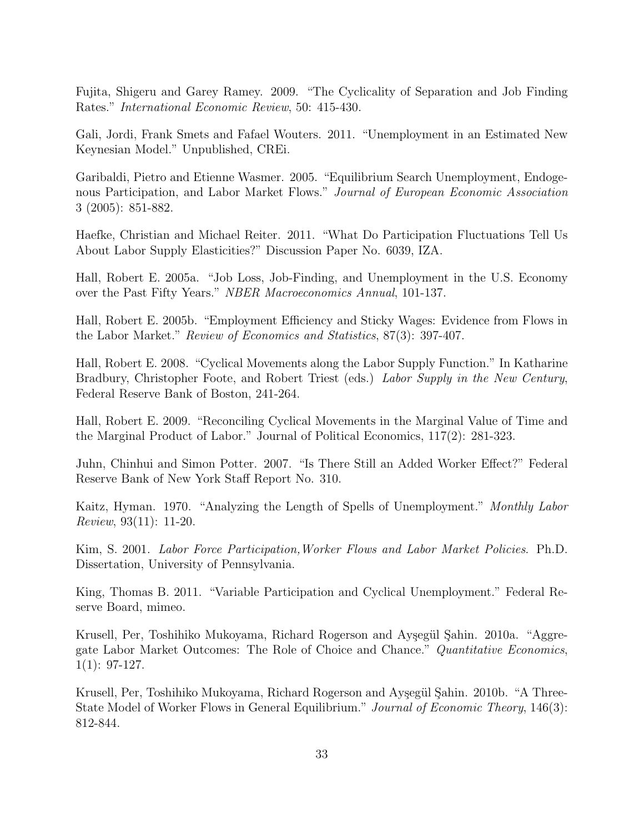Fujita, Shigeru and Garey Ramey. 2009. "The Cyclicality of Separation and Job Finding Rates." International Economic Review, 50: 415-430.

Gali, Jordi, Frank Smets and Fafael Wouters. 2011. "Unemployment in an Estimated New Keynesian Model." Unpublished, CREi.

Garibaldi, Pietro and Etienne Wasmer. 2005. "Equilibrium Search Unemployment, Endogenous Participation, and Labor Market Flows." Journal of European Economic Association 3 (2005): 851-882.

Haefke, Christian and Michael Reiter. 2011. "What Do Participation Fluctuations Tell Us About Labor Supply Elasticities?" Discussion Paper No. 6039, IZA.

Hall, Robert E. 2005a. "Job Loss, Job-Finding, and Unemployment in the U.S. Economy over the Past Fifty Years." NBER Macroeconomics Annual, 101-137.

Hall, Robert E. 2005b. "Employment Efficiency and Sticky Wages: Evidence from Flows in the Labor Market." Review of Economics and Statistics, 87(3): 397-407.

Hall, Robert E. 2008. "Cyclical Movements along the Labor Supply Function." In Katharine Bradbury, Christopher Foote, and Robert Triest (eds.) Labor Supply in the New Century, Federal Reserve Bank of Boston, 241-264.

Hall, Robert E. 2009. "Reconciling Cyclical Movements in the Marginal Value of Time and the Marginal Product of Labor." Journal of Political Economics, 117(2): 281-323.

Juhn, Chinhui and Simon Potter. 2007. "Is There Still an Added Worker Effect?" Federal Reserve Bank of New York Staff Report No. 310.

Kaitz, Hyman. 1970. "Analyzing the Length of Spells of Unemployment." Monthly Labor Review, 93(11): 11-20.

Kim, S. 2001. Labor Force Participation,Worker Flows and Labor Market Policies. Ph.D. Dissertation, University of Pennsylvania.

King, Thomas B. 2011. "Variable Participation and Cyclical Unemployment." Federal Reserve Board, mimeo.

Krusell, Per, Toshihiko Mukoyama, Richard Rogerson and Ayşegül Şahin. 2010a. "Aggregate Labor Market Outcomes: The Role of Choice and Chance." Quantitative Economics,  $1(1): 97-127.$ 

Krusell, Per, Toshihiko Mukoyama, Richard Rogerson and Ayşegül Şahin. 2010b. "A Three-State Model of Worker Flows in General Equilibrium." Journal of Economic Theory, 146(3): 812-844.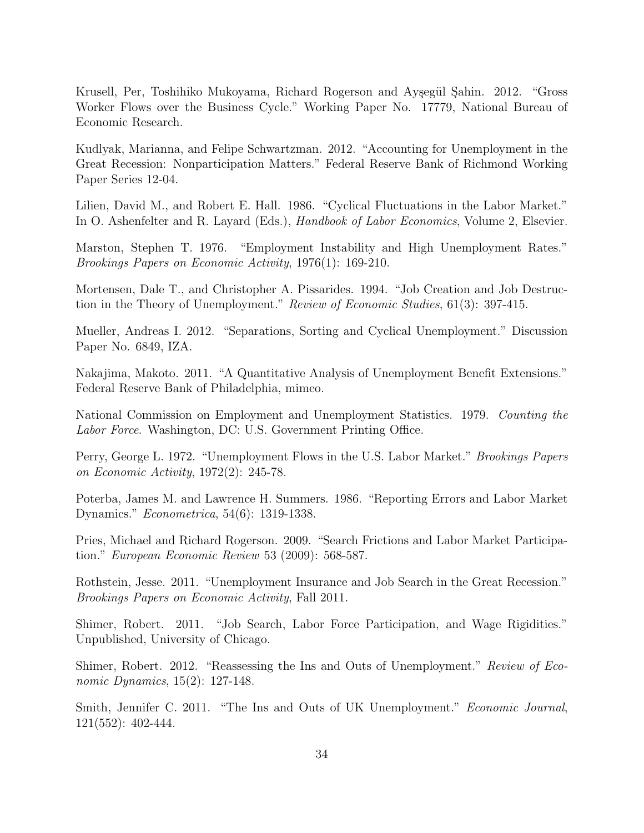Krusell, Per, Toshihiko Mukoyama, Richard Rogerson and Ayşegül Şahin. 2012. "Gross" Worker Flows over the Business Cycle." Working Paper No. 17779, National Bureau of Economic Research.

Kudlyak, Marianna, and Felipe Schwartzman. 2012. "Accounting for Unemployment in the Great Recession: Nonparticipation Matters." Federal Reserve Bank of Richmond Working Paper Series 12-04.

Lilien, David M., and Robert E. Hall. 1986. "Cyclical Fluctuations in the Labor Market." In O. Ashenfelter and R. Layard (Eds.), *Handbook of Labor Economics*, Volume 2, Elsevier.

Marston, Stephen T. 1976. "Employment Instability and High Unemployment Rates." Brookings Papers on Economic Activity, 1976(1): 169-210.

Mortensen, Dale T., and Christopher A. Pissarides. 1994. "Job Creation and Job Destruction in the Theory of Unemployment." Review of Economic Studies, 61(3): 397-415.

Mueller, Andreas I. 2012. "Separations, Sorting and Cyclical Unemployment." Discussion Paper No. 6849, IZA.

Nakajima, Makoto. 2011. "A Quantitative Analysis of Unemployment Benefit Extensions." Federal Reserve Bank of Philadelphia, mimeo.

National Commission on Employment and Unemployment Statistics. 1979. Counting the Labor Force. Washington, DC: U.S. Government Printing Office.

Perry, George L. 1972. "Unemployment Flows in the U.S. Labor Market." Brookings Papers on Economic Activity, 1972(2): 245-78.

Poterba, James M. and Lawrence H. Summers. 1986. "Reporting Errors and Labor Market Dynamics." Econometrica, 54(6): 1319-1338.

Pries, Michael and Richard Rogerson. 2009. "Search Frictions and Labor Market Participation." European Economic Review 53 (2009): 568-587.

Rothstein, Jesse. 2011. "Unemployment Insurance and Job Search in the Great Recession." Brookings Papers on Economic Activity, Fall 2011.

Shimer, Robert. 2011. "Job Search, Labor Force Participation, and Wage Rigidities." Unpublished, University of Chicago.

Shimer, Robert. 2012. "Reassessing the Ins and Outs of Unemployment." Review of Economic Dynamics, 15(2): 127-148.

Smith, Jennifer C. 2011. "The Ins and Outs of UK Unemployment." *Economic Journal*, 121(552): 402-444.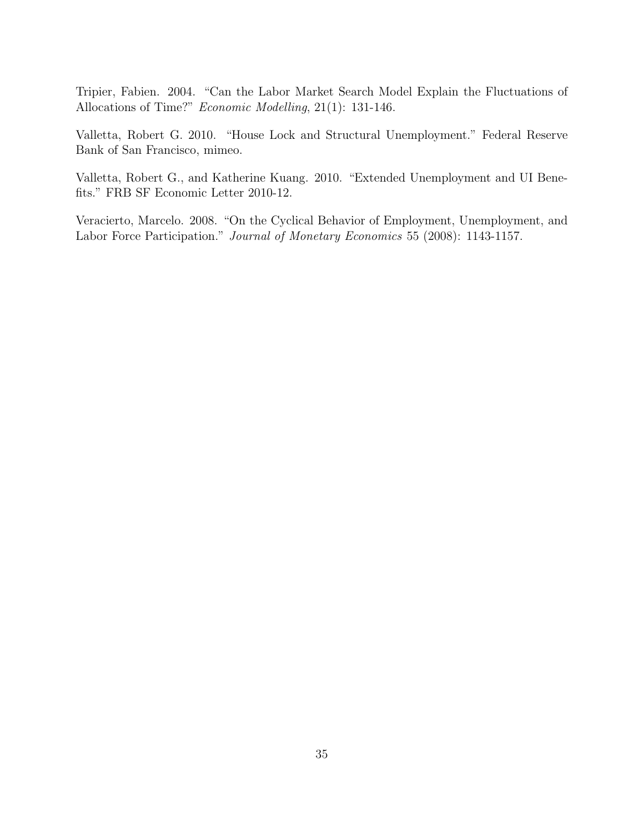Tripier, Fabien. 2004. "Can the Labor Market Search Model Explain the Fluctuations of Allocations of Time?" Economic Modelling, 21(1): 131-146.

Valletta, Robert G. 2010. "House Lock and Structural Unemployment." Federal Reserve Bank of San Francisco, mimeo.

Valletta, Robert G., and Katherine Kuang. 2010. "Extended Unemployment and UI Benefits." FRB SF Economic Letter 2010-12.

Veracierto, Marcelo. 2008. "On the Cyclical Behavior of Employment, Unemployment, and Labor Force Participation." Journal of Monetary Economics 55 (2008): 1143-1157.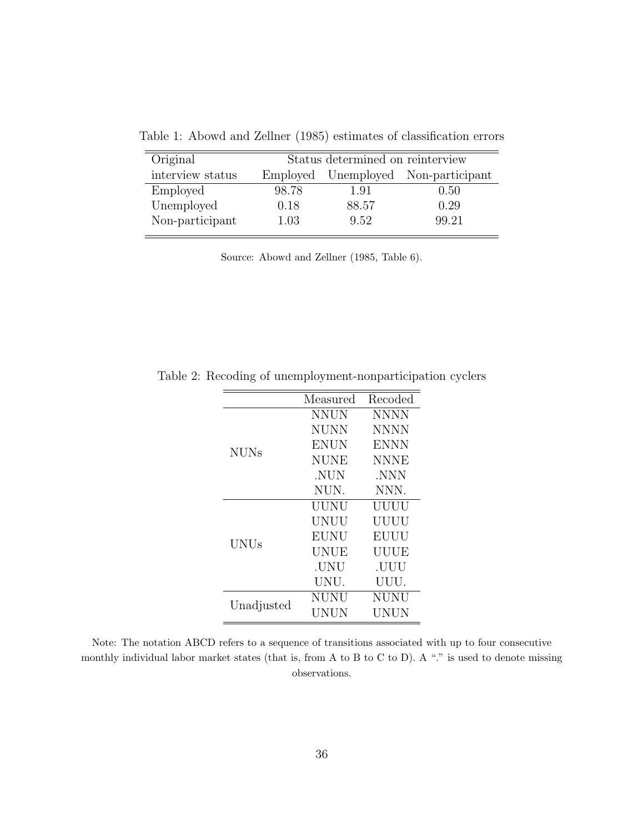| Original         | Status determined on reinterview |       |                                     |  |  |
|------------------|----------------------------------|-------|-------------------------------------|--|--|
| interview status |                                  |       | Employed Unemployed Non-participant |  |  |
| Employed         | 98.78                            | 1.91  | 0.50                                |  |  |
| Unemployed       | 0.18                             | 88.57 | 0.29                                |  |  |
| Non-participant  | 1.03                             | 9.52  | 99.21                               |  |  |

Table 1: Abowd and Zellner (1985) estimates of classification errors

Source: Abowd and Zellner (1985, Table 6).

|             | Measured    | Recoded     |
|-------------|-------------|-------------|
|             | <b>NNUN</b> | <b>NNNN</b> |
|             | <b>NUNN</b> | <b>NNNN</b> |
| <b>NUNs</b> | <b>ENUN</b> | <b>ENNN</b> |
|             | <b>NUNE</b> | <b>NNNE</b> |
|             | .NUN        | .NNN        |
|             | NUN.        | NNN.        |
|             | UUNU        | UUUU        |
|             | UNUU        | UUUU        |
| <b>UNUs</b> | <b>EUNU</b> | EUUU        |
|             | UNUE        | UUUE        |
|             | .UNU        | UUU.        |
|             | UNU.        | UUU.        |
|             | <b>NUNU</b> | <b>NUNU</b> |
| Unadjusted  | UNUN        | UNUN        |

Table 2: Recoding of unemployment-nonparticipation cyclers

Note: The notation ABCD refers to a sequence of transitions associated with up to four consecutive monthly individual labor market states (that is, from A to B to C to D). A "." is used to denote missing observations.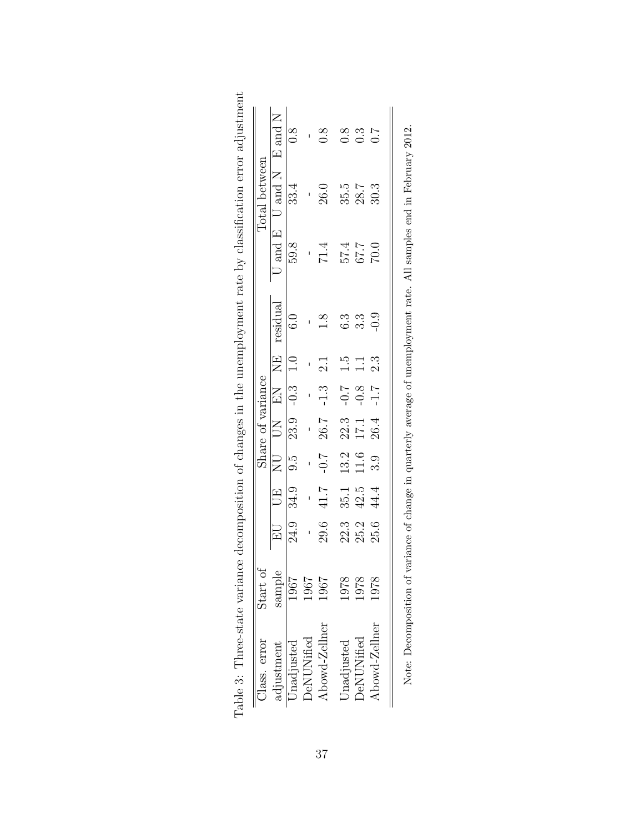| Jlass. error      | Start of |      |              |                                    | Share of variance |                  |                  |              |                      | Total between                 |                  |
|-------------------|----------|------|--------------|------------------------------------|-------------------|------------------|------------------|--------------|----------------------|-------------------------------|------------------|
| adjustment        | sample   | EU   |              |                                    | UE NU UN          |                  | 田<br>NH<br>NH    | residual     |                      | U and $E$ U and $N$ E and $N$ |                  |
| Unadjusted        | 1967     | 24.9 |              | $34.\overline{9}$ $9.\overline{5}$ |                   | $23.9 - 0.3$ 1.0 |                  | $\ddot{6}$ . | 59.8                 | 33.4                          | 0.8              |
| DeNUNified        | 1967     |      | $\mathbf{I}$ | $\overline{1}$                     | I                 |                  |                  |              |                      |                               |                  |
| Abowd-Zellner     | 796      | 29.6 | 41.7         | $-0.7$                             | 26.7              | $-1.3$           | $\frac{1}{2}$    |              | 71.4                 | 26.0                          | $0.\overline{8}$ |
| Jnadjusted        | 1978     | 22.3 | 35.1         | 13.2                               | 22.3              | $-1.0 -$         | $\frac{1}{5}$    | 6.3          |                      | 35.5                          |                  |
| <b>DeNUNified</b> | 1978     | 25.2 | 42.5         | 11.6                               | 17.1              | $-0.8$           | $\frac{1}{1}$    | 3.3          | 57.1<br>57.7<br>4.76 | <b>78.7</b>                   | $0.\overline{3}$ |
| Abowd-Zellner     | 1978     | 25.6 | 44.4         | 3.9                                | 26.4              | $7.1-$           | $2.\overline{3}$ | $-0.9$       |                      | 30.3                          | $\overline{C}$   |

| убитура на на нариания основно кур Дорога отратительной прибега.                                                                                                                                                                         |
|------------------------------------------------------------------------------------------------------------------------------------------------------------------------------------------------------------------------------------------|
|                                                                                                                                                                                                                                          |
|                                                                                                                                                                                                                                          |
|                                                                                                                                                                                                                                          |
|                                                                                                                                                                                                                                          |
|                                                                                                                                                                                                                                          |
|                                                                                                                                                                                                                                          |
|                                                                                                                                                                                                                                          |
| commontion of abomover in the limon originate water oleculation amon adjusti                                                                                                                                                             |
| THREE OILS OF HUNTER ON HIS TIME TO A THREE OF THE STRIP OF THE STRIP OF THE STRIP OF THE STRIP OF THE STRIP OF THE STRIP OF THE STRIP OF THE STRIP OF THE STRIP OF THE STRIP OF THE STRIP OF THE STRIP OF THE STRIP OF THE ST<br>I<br>l |
|                                                                                                                                                                                                                                          |
| $\sim$ $\sim$ $\sim$                                                                                                                                                                                                                     |
| $\mathbf$                                                                                                                                                                                                                                |
| ļ<br>ĺ                                                                                                                                                                                                                                   |
|                                                                                                                                                                                                                                          |
|                                                                                                                                                                                                                                          |
|                                                                                                                                                                                                                                          |
|                                                                                                                                                                                                                                          |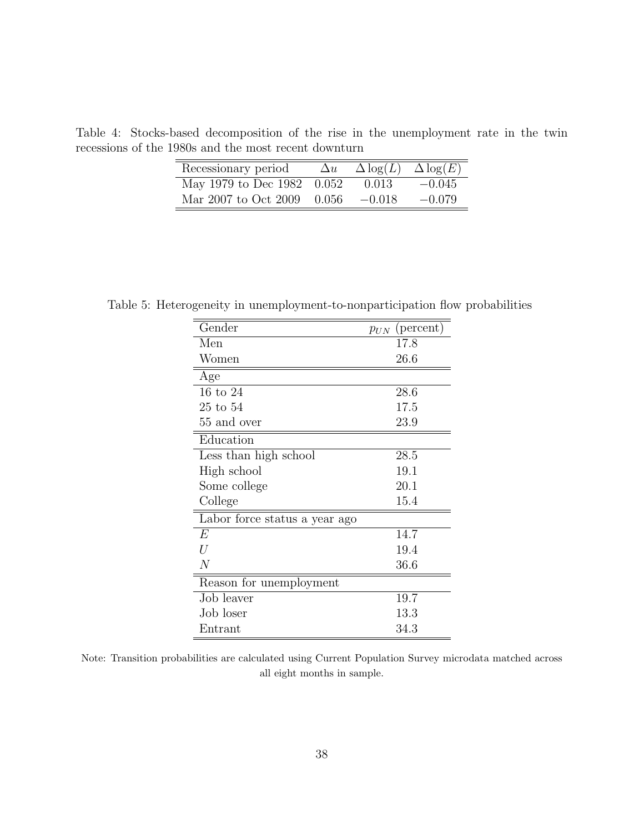Table 4: Stocks-based decomposition of the rise in the unemployment rate in the twin recessions of the 1980s and the most recent downturn

| Recessionary period        | $\Delta u$ | $\Delta \log(L)$ | $\Delta \log(E)$ |
|----------------------------|------------|------------------|------------------|
| May 1979 to Dec 1982 0.052 |            | 0.013            | $-0.045$         |
| Mar 2007 to Oct 2009       | - 0.056    | $-0.018$         | $-0.079$         |

Table 5: Heterogeneity in unemployment-to-nonparticipation flow probabilities

| Gender                        | $p_{UN}$ (percent) |
|-------------------------------|--------------------|
| Men                           | 17.8               |
| Women                         | 26.6               |
| Age                           |                    |
| 16 to 24                      | 28.6               |
| $25$ to $54$                  | 17.5               |
| 55 and over                   | 23.9               |
| Education                     |                    |
| Less than high school         | 28.5               |
| High school                   | 19.1               |
| Some college                  | 20.1               |
| College                       | 15.4               |
| Labor force status a year ago |                    |
| E                             | 14.7               |
| U                             | 19.4               |
| $\overline{N}$                | 36.6               |
| Reason for unemployment       |                    |
| Job leaver                    | 19.7               |
| Job loser                     | 13.3               |
| $\rm Entrant$                 | 34.3               |

Note: Transition probabilities are calculated using Current Population Survey microdata matched across all eight months in sample.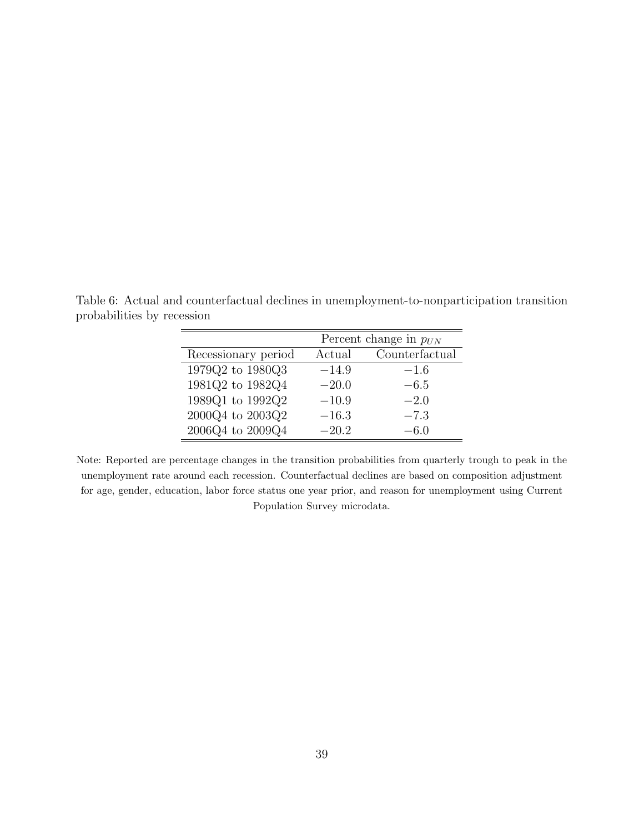Table 6: Actual and counterfactual declines in unemployment-to-nonparticipation transition probabilities by recession

|                                        |         | Percent change in $p_{UN}$ |
|----------------------------------------|---------|----------------------------|
| Recessionary period                    | Actual  | Counterfactual             |
| 1979Q2 to 1980Q3                       | $-14.9$ | $-1.6$                     |
| 1981Q2 to 1982Q4                       | $-20.0$ | $-6.5$                     |
| 1989Q1 to 1992Q2                       | $-10.9$ | $-2.0$                     |
| $2000\mathrm{Q}4$ to $2003\mathrm{Q}2$ | $-16.3$ | $-7.3$                     |
| $2006Q4$ to $2009Q4$                   | $-20.2$ | $-6.0$                     |

Note: Reported are percentage changes in the transition probabilities from quarterly trough to peak in the unemployment rate around each recession. Counterfactual declines are based on composition adjustment for age, gender, education, labor force status one year prior, and reason for unemployment using Current Population Survey microdata.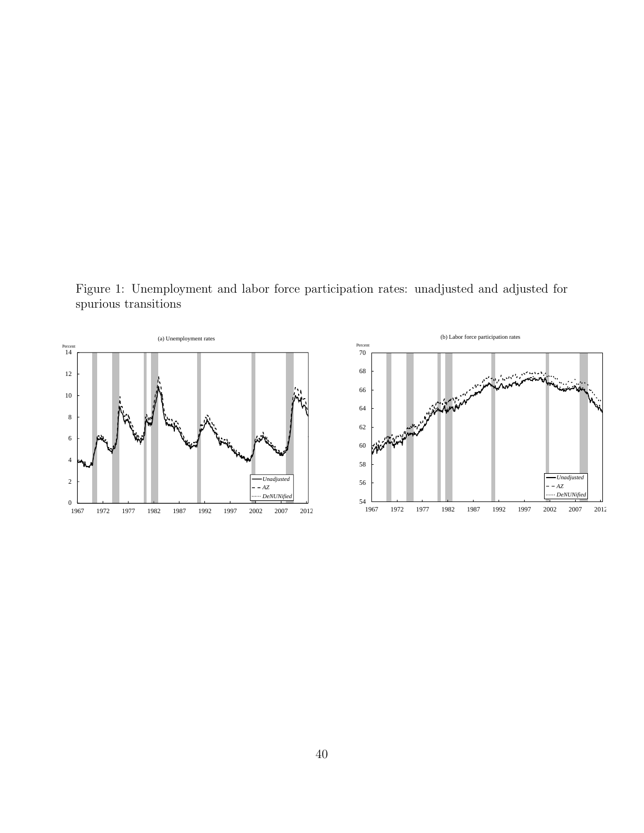Figure 1: Unemployment and labor force participation rates: unadjusted and adjusted for spurious transitions

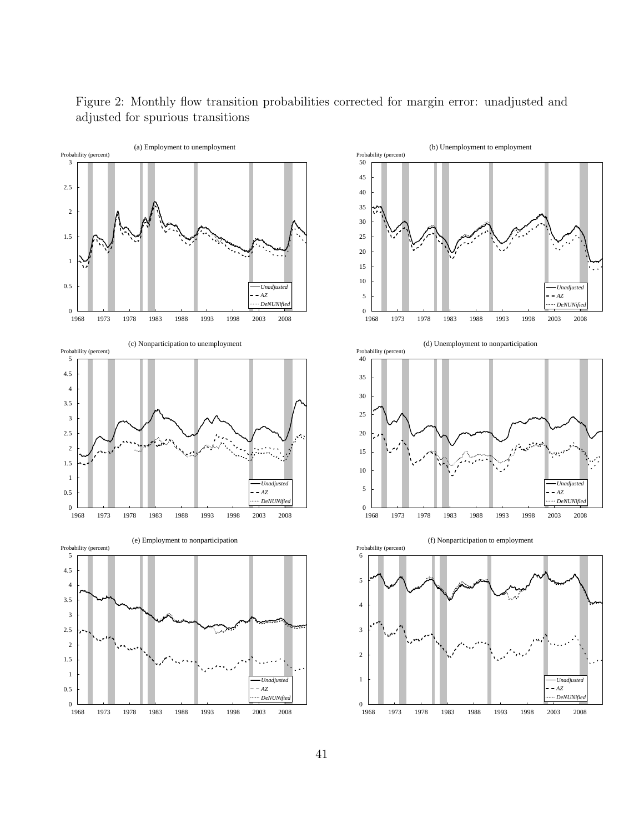

### Figure 2: Monthly flow transition probabilities corrected for margin error: unadjusted and adjusted for spurious transitions

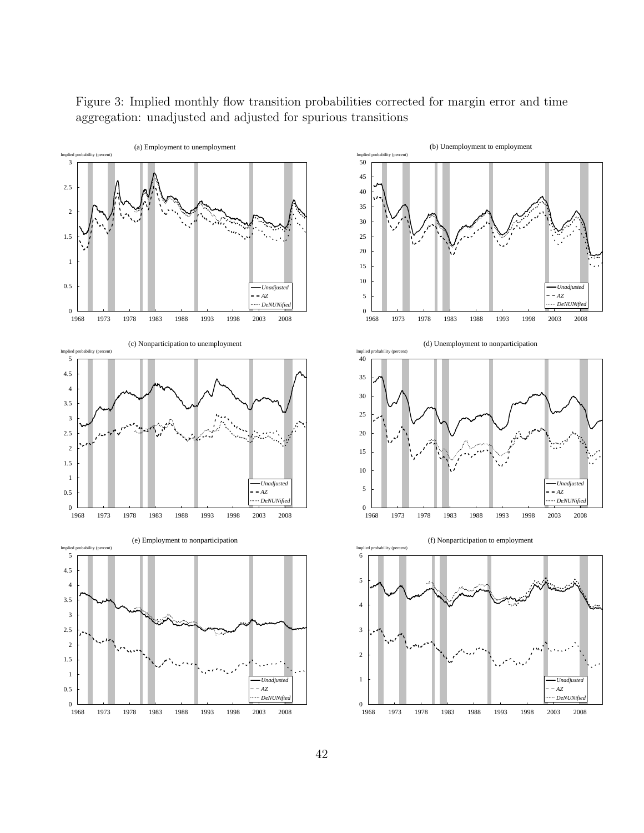

Figure 3: Implied monthly flow transition probabilities corrected for margin error and time aggregation: unadjusted and adjusted for spurious transitions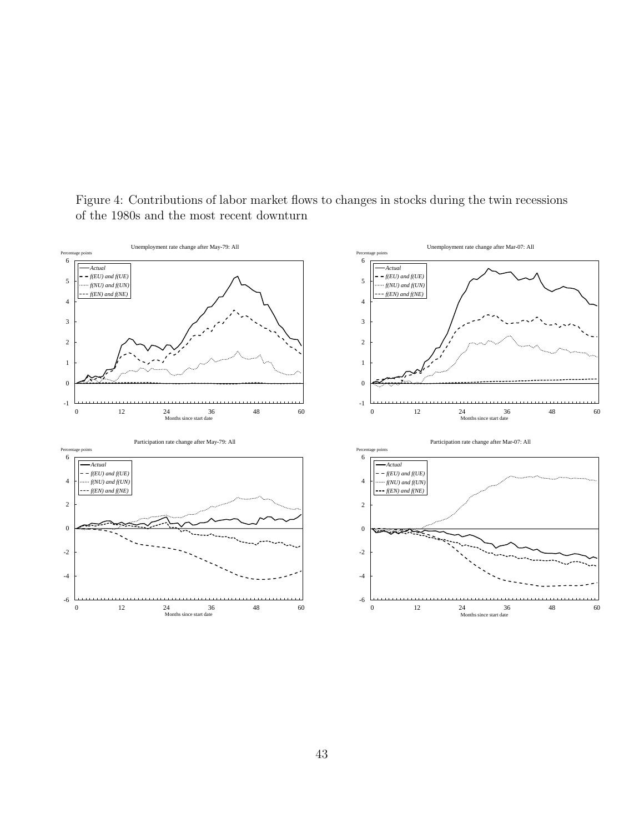

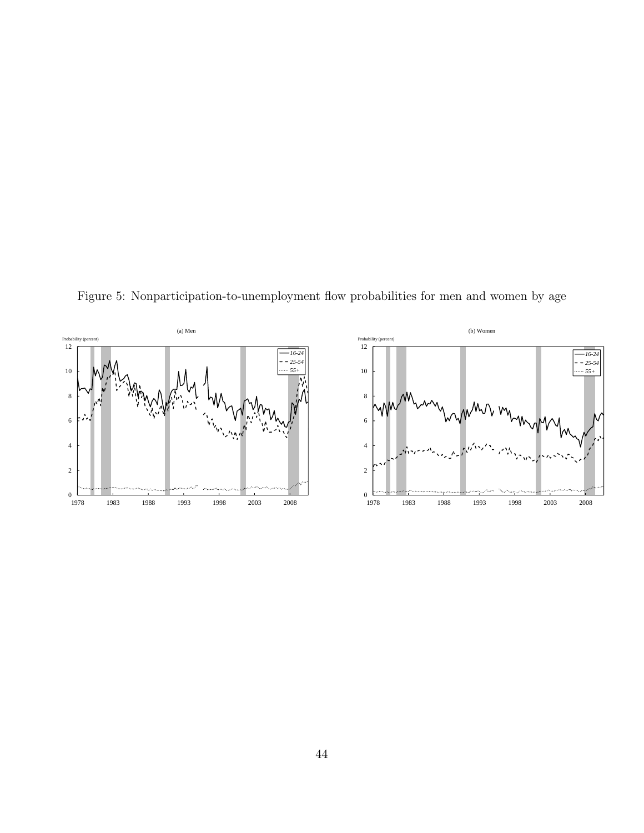

Figure 5: Nonparticipation-to-unemployment flow probabilities for men and women by age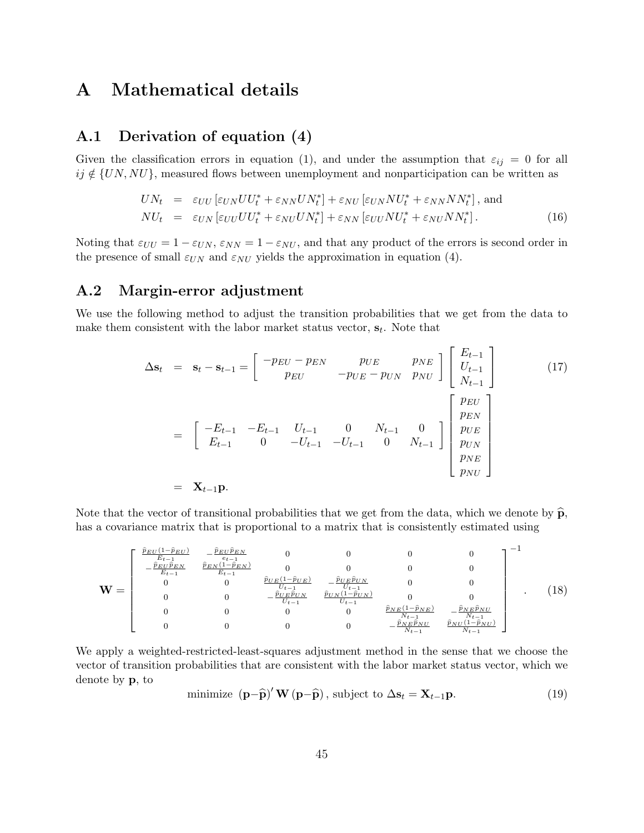# A Mathematical details

### A.1 Derivation of equation (4)

Given the classification errors in equation (1), and under the assumption that  $\varepsilon_{ij} = 0$  for all  $ij \notin \{UN, NU\}$ , measured flows between unemployment and nonparticipation can be written as

$$
UN_t = \varepsilon_{UU} [\varepsilon_{UN} U U_t^* + \varepsilon_{NN} U N_t^*] + \varepsilon_{NU} [\varepsilon_{UN} N U_t^* + \varepsilon_{NN} N N_t^*],
$$
 and  
\n
$$
NU_t = \varepsilon_{UN} [\varepsilon_{UU} U U_t^* + \varepsilon_{NU} U N_t^*] + \varepsilon_{NN} [\varepsilon_{UU} N U_t^* + \varepsilon_{NU} N N_t^*].
$$
\n(16)

Noting that  $\varepsilon_{UU} = 1 - \varepsilon_{UN}$ ,  $\varepsilon_{NN} = 1 - \varepsilon_{NU}$ , and that any product of the errors is second order in the presence of small  $\varepsilon_{UN}$  and  $\varepsilon_{NU}$  yields the approximation in equation (4).

### A.2 Margin-error adjustment

We use the following method to adjust the transition probabilities that we get from the data to make them consistent with the labor market status vector,  $s_t$ . Note that

$$
\Delta \mathbf{s}_{t} = \mathbf{s}_{t} - \mathbf{s}_{t-1} = \begin{bmatrix} -p_{EU} - p_{EN} & p_{UE} & p_{NE} \\ p_{EU} & -p_{UE} - p_{UN} & p_{NU} \end{bmatrix} \begin{bmatrix} E_{t-1} \\ U_{t-1} \\ N_{t-1} \end{bmatrix}
$$
(17)  

$$
= \begin{bmatrix} -E_{t-1} & -E_{t-1} & U_{t-1} & 0 & N_{t-1} & 0 \\ E_{t-1} & 0 & -U_{t-1} & -U_{t-1} & 0 & N_{t-1} \end{bmatrix} \begin{bmatrix} p_{EV} \\ p_{EN} \\ p_{UE} \\ p_{UV} \\ p_{NE} \\ p_{NU} \end{bmatrix}
$$
  

$$
= \mathbf{X}_{t-1} \mathbf{p}.
$$

Note that the vector of transitional probabilities that we get from the data, which we denote by  $\hat{p}$ , has a covariance matrix that is proportional to a matrix that is consistently estimated using

$$
\mathbf{W} = \begin{bmatrix} \frac{\hat{p}_{EU}(1-\hat{p}_{EU})}{E_{t-1}} & -\frac{\hat{p}_{EU}\hat{p}_{EN}}{e_{t-1}} & 0 & 0 & 0 & 0 \\ -\frac{\hat{p}_{EU}\hat{p}_{EN}}{E_{t-1}} & \frac{\hat{p}_{EN}(1-\hat{p}_{EN})}{E_{t-1}} & 0 & 0 & 0 & 0 \\ 0 & 0 & \frac{\hat{p}_{UE}(1-\hat{p}_{UE})}{U_{t-1}} & -\frac{\hat{p}_{UE}\hat{p}_{UN}}{U_{t-1}} & 0 & 0 \\ 0 & 0 & -\frac{\hat{p}_{UE}\hat{p}_{UN}}{U_{t-1}} & \frac{\hat{p}_{UN}(1-\hat{p}_{UN})}{U_{t-1}} & 0 & 0 \\ 0 & 0 & 0 & 0 & \frac{\hat{p}_{NE}(1-\hat{p}_{NN})}{N_{t-1}} & -\frac{\hat{p}_{NE}\hat{p}_{NU}}{N_{t-1}} \\ 0 & 0 & 0 & 0 & \frac{\hat{p}_{NE}(1-\hat{p}_{NE})}{N_{t-1}} & \frac{\hat{p}_{NE}\hat{p}_{NU}}{N_{t-1}} \\ 0 & 0 & 0 & 0 & -\frac{\hat{p}_{NE}\hat{p}_{NU}}{N_{t-1}} & \frac{\hat{p}_{NU}(1-\hat{p}_{NU})}{N_{t-1}} \end{bmatrix} . \quad (18)
$$

We apply a weighted-restricted-least-squares adjustment method in the sense that we choose the vector of transition probabilities that are consistent with the labor market status vector, which we denote by p, to

minimize 
$$
(\mathbf{p} - \widehat{\mathbf{p}})' \mathbf{W} (\mathbf{p} - \widehat{\mathbf{p}})
$$
, subject to  $\Delta \mathbf{s}_t = \mathbf{X}_{t-1} \mathbf{p}$ . (19)